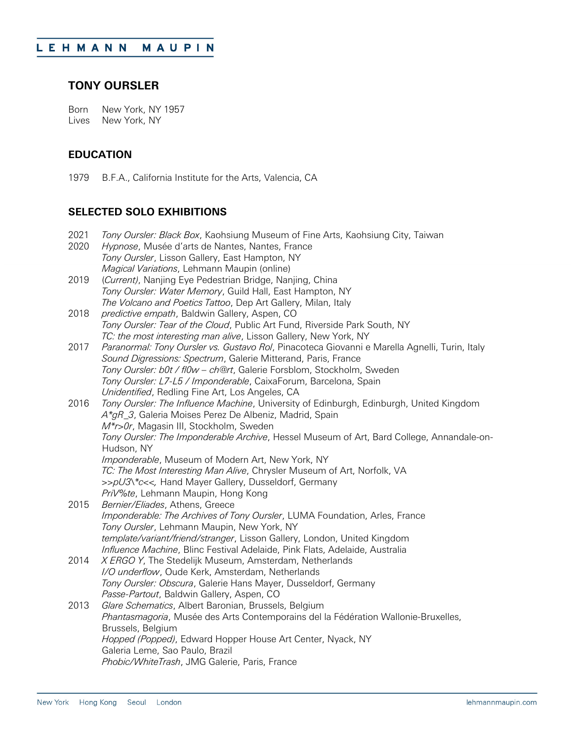### **TONY OURSLER**

Born New York, NY 1957<br>Lives New York, NY New York, NY

## **EDUCATION**

1979 B.F.A., California Institute for the Arts, Valencia, CA

### **SELECTED SOLO EXHIBITIONS**

| 2021<br>2020 | Tony Oursler: Black Box, Kaohsiung Museum of Fine Arts, Kaohsiung City, Taiwan<br>Hypnose, Musée d'arts de Nantes, Nantes, France<br>Tony Oursler, Lisson Gallery, East Hampton, NY |
|--------------|-------------------------------------------------------------------------------------------------------------------------------------------------------------------------------------|
|              | Magical Variations, Lehmann Maupin (online)                                                                                                                                         |
| 2019         | (Current), Nanjing Eye Pedestrian Bridge, Nanjing, China                                                                                                                            |
|              | Tony Oursler: Water Memory, Guild Hall, East Hampton, NY                                                                                                                            |
|              | The Volcano and Poetics Tattoo, Dep Art Gallery, Milan, Italy                                                                                                                       |
| 2018         | predictive empath, Baldwin Gallery, Aspen, CO                                                                                                                                       |
|              | Tony Oursler: Tear of the Cloud, Public Art Fund, Riverside Park South, NY                                                                                                          |
|              | TC: the most interesting man alive, Lisson Gallery, New York, NY                                                                                                                    |
| 2017         | Paranormal: Tony Oursler vs. Gustavo Rol, Pinacoteca Giovanni e Marella Agnelli, Turin, Italy                                                                                       |
|              | Sound Digressions: Spectrum, Galerie Mitterand, Paris, France                                                                                                                       |
|              | Tony Oursler: b0t / fl0w - ch@rt, Galerie Forsblom, Stockholm, Sweden                                                                                                               |
|              | Tony Oursler: L7-L5 / Imponderable, CaixaForum, Barcelona, Spain                                                                                                                    |
|              | Unidentified, Redling Fine Art, Los Angeles, CA                                                                                                                                     |
| 2016         | Tony Oursler: The Influence Machine, University of Edinburgh, Edinburgh, United Kingdom                                                                                             |
|              | A*gR_3, Galeria Moises Perez De Albeniz, Madrid, Spain                                                                                                                              |
|              | M*r>0r, Magasin III, Stockholm, Sweden                                                                                                                                              |
|              | Tony Oursler: The Imponderable Archive, Hessel Museum of Art, Bard College, Annandale-on-                                                                                           |
|              | Hudson, NY                                                                                                                                                                          |
|              | Imponderable, Museum of Modern Art, New York, NY                                                                                                                                    |
|              | TC: The Most Interesting Man Alive, Chrysler Museum of Art, Norfolk, VA                                                                                                             |
|              | >>pU3\*c<<, Hand Mayer Gallery, Dusseldorf, Germany                                                                                                                                 |
|              | PriV%te, Lehmann Maupin, Hong Kong                                                                                                                                                  |
| 2015         | Bernier/Eliades, Athens, Greece                                                                                                                                                     |
|              | Imponderable: The Archives of Tony Oursler, LUMA Foundation, Arles, France                                                                                                          |
|              | Tony Oursler, Lehmann Maupin, New York, NY                                                                                                                                          |
|              | template/variant/friend/stranger, Lisson Gallery, London, United Kingdom                                                                                                            |
|              | Influence Machine, Blinc Festival Adelaide, Pink Flats, Adelaide, Australia                                                                                                         |
| 2014         | X ERGO Y, The Stedelijk Museum, Amsterdam, Netherlands                                                                                                                              |
|              | I/O underflow, Oude Kerk, Amsterdam, Netherlands                                                                                                                                    |
|              | Tony Oursler: Obscura, Galerie Hans Mayer, Dusseldorf, Germany                                                                                                                      |
|              | Passe-Partout, Baldwin Gallery, Aspen, CO                                                                                                                                           |
| 2013         | Glare Schematics, Albert Baronian, Brussels, Belgium                                                                                                                                |
|              | Phantasmagoria, Musée des Arts Contemporains del la Fédération Wallonie-Bruxelles,                                                                                                  |
|              | Brussels, Belgium                                                                                                                                                                   |
|              | Hopped (Popped), Edward Hopper House Art Center, Nyack, NY                                                                                                                          |
|              | Galeria Leme, Sao Paulo, Brazil                                                                                                                                                     |
|              | Phobic/WhiteTrash, JMG Galerie, Paris, France                                                                                                                                       |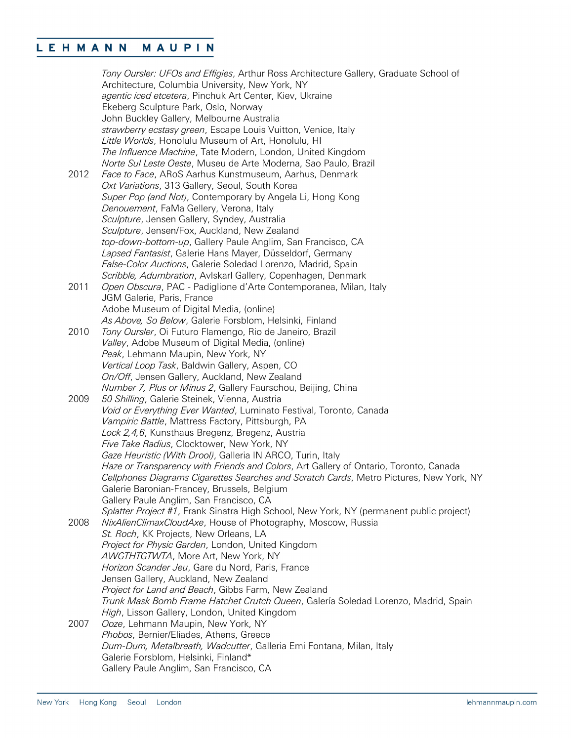*Tony Oursler: UFOs and Effigies*, Arthur Ross Architecture Gallery, Graduate School of Architecture, Columbia University, New York, NY *agentic iced etcetera*, Pinchuk Art Center, Kiev, Ukraine Ekeberg Sculpture Park, Oslo, Norway John Buckley Gallery, Melbourne Australia *strawberry ecstasy green*, Escape Louis Vuitton, Venice, Italy *Little Worlds*, Honolulu Museum of Art, Honolulu, HI *The Influence Machine*, Tate Modern, London, United Kingdom *Norte Sul Leste Oeste*, Museu de Arte Moderna, Sao Paulo, Brazil 2012 *Face to Face*, ARoS Aarhus Kunstmuseum, Aarhus, Denmark *Oxt Variations*, 313 Gallery, Seoul, South Korea *Super Pop (and Not)*, Contemporary by Angela Li, Hong Kong *Denouement*, FaMa Gellery, Verona, Italy *Sculpture*, Jensen Gallery, Syndey, Australia *Sculpture*, Jensen/Fox, Auckland, New Zealand *top-down-bottom-up*, Gallery Paule Anglim, San Francisco, CA *Lapsed Fantasist*, Galerie Hans Mayer, Düsseldorf, Germany *False-Color Auctions*, Galerie Soledad Lorenzo, Madrid, Spain *Scribble, Adumbration*, Avlskarl Gallery, Copenhagen, Denmark 2011 *Open Obscura*, PAC - Padiglione d'Arte Contemporanea, Milan, Italy JGM Galerie, Paris, France Adobe Museum of Digital Media, (online) *As Above, So Below*, Galerie Forsblom, Helsinki, Finland 2010 *Tony Oursler*, Oi Futuro Flamengo, Rio de Janeiro, Brazil *Valley*, Adobe Museum of Digital Media, (online) *Peak*, Lehmann Maupin, New York, NY *Vertical Loop Task*, Baldwin Gallery, Aspen, CO *On/Off*, Jensen Gallery, Auckland, New Zealand *Number 7, Plus or Minus 2*, Gallery Faurschou, Beijing, China 2009 *50 Shilling*, Galerie Steinek, Vienna, Austria *Void or Everything Ever Wanted*, Luminato Festival, Toronto, Canada *Vampiric Battle*, Mattress Factory, Pittsburgh, PA *Lock 2,4,6*, Kunsthaus Bregenz, Bregenz, Austria *Five Take Radius*, Clocktower, New York, NY *Gaze Heuristic (With Drool)*, Galleria IN ARCO, Turin, Italy *Haze or Transparency with Friends and Colors*, Art Gallery of Ontario, Toronto, Canada *Cellphones Diagrams Cigarettes Searches and Scratch Cards*, Metro Pictures, New York, NY Galerie Baronian-Francey, Brussels, Belgium Gallery Paule Anglim, San Francisco, CA *Splatter Project #1*, Frank Sinatra High School, New York, NY (permanent public project) 2008 *NixAlienClimaxCloudAxe*, House of Photography, Moscow, Russia *St. Roch*, KK Projects, New Orleans, LA *Project for Physic Garden*, London, United Kingdom *AWGTHTGTWTA*, More Art, New York, NY *Horizon Scander Jeu*, Gare du Nord, Paris, France Jensen Gallery, Auckland, New Zealand *Project for Land and Beach*, Gibbs Farm, New Zealand *Trunk Mask Bomb Frame Hatchet Crutch Queen*, Galería Soledad Lorenzo, Madrid, Spain *High*, Lisson Gallery, London, United Kingdom 2007 *Ooze*, Lehmann Maupin, New York, NY *Phobos*, Bernier/Eliades, Athens, Greece *Dum-Dum, Metalbreath, Wadcutter*, Galleria Emi Fontana, Milan, Italy Galerie Forsblom, Helsinki, Finland\* Gallery Paule Anglim, San Francisco, CA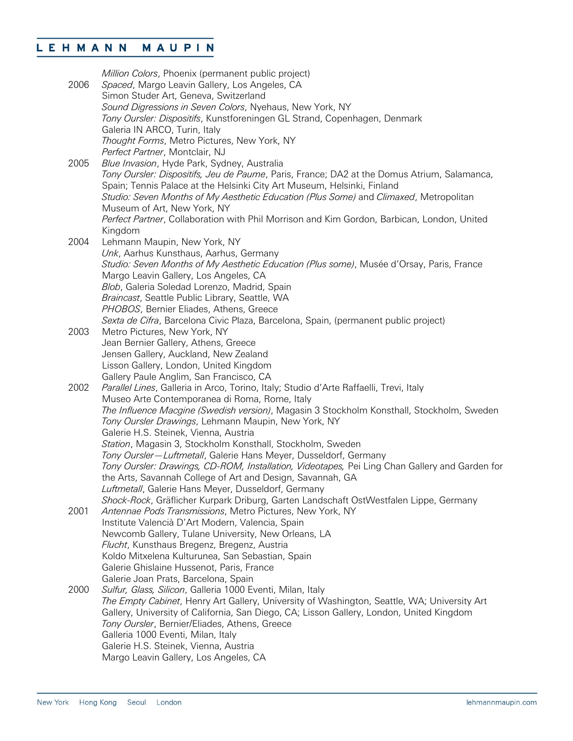| 2006 | Million Colors, Phoenix (permanent public project)<br>Spaced, Margo Leavin Gallery, Los Angeles, CA<br>Simon Studer Art, Geneva, Switzerland<br>Sound Digressions in Seven Colors, Nyehaus, New York, NY |
|------|----------------------------------------------------------------------------------------------------------------------------------------------------------------------------------------------------------|
|      | Tony Oursler: Dispositifs, Kunstforeningen GL Strand, Copenhagen, Denmark<br>Galeria IN ARCO, Turin, Italy<br>Thought Forms, Metro Pictures, New York, NY                                                |
|      | Perfect Partner, Montclair, NJ                                                                                                                                                                           |
| 2005 | Blue Invasion, Hyde Park, Sydney, Australia                                                                                                                                                              |
|      | Tony Oursler: Dispositifs, Jeu de Paume, Paris, France; DA2 at the Domus Atrium, Salamanca,                                                                                                              |
|      | Spain; Tennis Palace at the Helsinki City Art Museum, Helsinki, Finland<br>Studio: Seven Months of My Aesthetic Education (Plus Some) and Climaxed, Metropolitan                                         |
|      | Museum of Art, New York, NY                                                                                                                                                                              |
|      | Perfect Partner, Collaboration with Phil Morrison and Kim Gordon, Barbican, London, United                                                                                                               |
|      | Kingdom                                                                                                                                                                                                  |
| 2004 | Lehmann Maupin, New York, NY                                                                                                                                                                             |
|      | Unk, Aarhus Kunsthaus, Aarhus, Germany<br>Studio: Seven Months of My Aesthetic Education (Plus some), Musée d'Orsay, Paris, France                                                                       |
|      | Margo Leavin Gallery, Los Angeles, CA                                                                                                                                                                    |
|      | Blob, Galeria Soledad Lorenzo, Madrid, Spain                                                                                                                                                             |
|      | Braincast, Seattle Public Library, Seattle, WA                                                                                                                                                           |
|      | PHOBOS, Bernier Eliades, Athens, Greece                                                                                                                                                                  |
|      | Sexta de Cifra, Barcelona Civic Plaza, Barcelona, Spain, (permanent public project)                                                                                                                      |
| 2003 | Metro Pictures, New York, NY<br>Jean Bernier Gallery, Athens, Greece                                                                                                                                     |
|      | Jensen Gallery, Auckland, New Zealand                                                                                                                                                                    |
|      | Lisson Gallery, London, United Kingdom                                                                                                                                                                   |
|      | Gallery Paule Anglim, San Francisco, CA                                                                                                                                                                  |
| 2002 | Parallel Lines, Galleria in Arco, Torino, Italy; Studio d'Arte Raffaelli, Trevi, Italy                                                                                                                   |
|      | Museo Arte Contemporanea di Roma, Rome, Italy                                                                                                                                                            |
|      | The Influence Macgine (Swedish version), Magasin 3 Stockholm Konsthall, Stockholm, Sweden<br>Tony Oursler Drawings, Lehmann Maupin, New York, NY                                                         |
|      | Galerie H.S. Steinek, Vienna, Austria                                                                                                                                                                    |
|      | Station, Magasin 3, Stockholm Konsthall, Stockholm, Sweden                                                                                                                                               |
|      | Tony Oursler-Luftmetall, Galerie Hans Meyer, Dusseldorf, Germany                                                                                                                                         |
|      | Tony Oursler: Drawings, CD-ROM, Installation, Videotapes, Pei Ling Chan Gallery and Garden for                                                                                                           |
|      | the Arts, Savannah College of Art and Design, Savannah, GA<br>Luftmetall, Galerie Hans Meyer, Dusseldorf, Germany                                                                                        |
|      | Shock-Rock, Gräflicher Kurpark Driburg, Garten Landschaft OstWestfalen Lippe, Germany                                                                                                                    |
| 2001 | Antennae Pods Transmissions, Metro Pictures, New York, NY                                                                                                                                                |
|      | Institute Valencià D'Art Modern, Valencia, Spain                                                                                                                                                         |
|      | Newcomb Gallery, Tulane University, New Orleans, LA                                                                                                                                                      |
|      | Flucht, Kunsthaus Bregenz, Bregenz, Austria                                                                                                                                                              |
|      | Koldo Mitxelena Kulturunea, San Sebastian, Spain<br>Galerie Ghislaine Hussenot, Paris, France                                                                                                            |
|      | Galerie Joan Prats, Barcelona, Spain                                                                                                                                                                     |
| 2000 | Sulfur, Glass, Silicon, Galleria 1000 Eventi, Milan, Italy                                                                                                                                               |
|      | The Empty Cabinet, Henry Art Gallery, University of Washington, Seattle, WA; University Art                                                                                                              |
|      | Gallery, University of California, San Diego, CA; Lisson Gallery, London, United Kingdom                                                                                                                 |
|      | Tony Oursler, Bernier/Eliades, Athens, Greece<br>Galleria 1000 Eventi, Milan, Italy                                                                                                                      |
|      | Galerie H.S. Steinek, Vienna, Austria                                                                                                                                                                    |
|      | Margo Leavin Gallery, Los Angeles, CA                                                                                                                                                                    |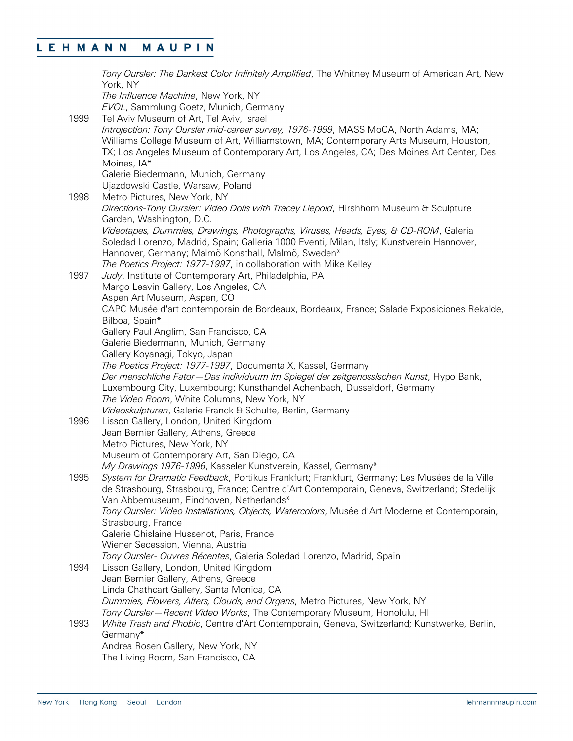*Tony Oursler: The Darkest Color Infinitely Amplified*, The Whitney Museum of American Art, New York, NY *The Influence Machine*, New York, NY *EVOL*, Sammlung Goetz, Munich, Germany 1999 Tel Aviv Museum of Art, Tel Aviv, Israel *Introjection: Tony Oursler mid-career survey, 1976-1999*, MASS MoCA, North Adams, MA; Williams College Museum of Art, Williamstown, MA; Contemporary Arts Museum, Houston, TX; Los Angeles Museum of Contemporary Art, Los Angeles, CA; Des Moines Art Center, Des Moines, IA\* Galerie Biedermann, Munich, Germany Ujazdowski Castle, Warsaw, Poland 1998 Metro Pictures, New York, NY *Directions-Tony Oursler: Video Dolls with Tracey Liepold*, Hirshhorn Museum & Sculpture Garden, Washington, D.C. *Videotapes, Dummies, Drawings, Photographs, Viruses, Heads, Eyes, & CD-ROM*, Galeria Soledad Lorenzo, Madrid, Spain; Galleria 1000 Eventi, Milan, Italy; Kunstverein Hannover, Hannover, Germany; Malmö Konsthall, Malmö, Sweden\* *The Poetics Project: 1977-1997*, in collaboration with Mike Kelley 1997 *Judy*, Institute of Contemporary Art, Philadelphia, PA Margo Leavin Gallery, Los Angeles, CA Aspen Art Museum, Aspen, CO CAPC Musée d'art contemporain de Bordeaux, Bordeaux, France; Salade Exposiciones Rekalde, Bilboa, Spain\* Gallery Paul Anglim, San Francisco, CA Galerie Biedermann, Munich, Germany Gallery Koyanagi, Tokyo, Japan *The Poetics Project: 1977-1997*, Documenta X, Kassel, Germany *Der menschliche Fator—Das individuum im Spiegel der zeitgenosslschen Kunst*, Hypo Bank, Luxembourg City, Luxembourg; Kunsthandel Achenbach, Dusseldorf, Germany *The Video Room*, White Columns, New York, NY *Videoskulpturen*, Galerie Franck & Schulte, Berlin, Germany 1996 Lisson Gallery, London, United Kingdom Jean Bernier Gallery, Athens, Greece Metro Pictures, New York, NY Museum of Contemporary Art, San Diego, CA *My Drawings 1976-1996*, Kasseler Kunstverein, Kassel, Germany\* 1995 *System for Dramatic Feedback*, Portikus Frankfurt; Frankfurt, Germany; Les Musées de la Ville de Strasbourg, Strasbourg, France; Centre d'Art Contemporain, Geneva, Switzerland; Stedelijk Van Abbemuseum, Eindhoven, Netherlands\* *Tony Oursler: Video Installations, Objects, Watercolors*, Musée d'Art Moderne et Contemporain, Strasbourg, France Galerie Ghislaine Hussenot, Paris, France Wiener Secession, Vienna, Austria *Tony Oursler- Ouvres Récentes*, Galeria Soledad Lorenzo, Madrid, Spain 1994 Lisson Gallery, London, United Kingdom Jean Bernier Gallery, Athens, Greece Linda Chathcart Gallery, Santa Monica, CA *Dummies, Flowers, Alters, Clouds, and Organs*, Metro Pictures, New York, NY *Tony Oursler—Recent Video Works*, The Contemporary Museum, Honolulu, HI 1993 *White Trash and Phobic*, Centre d'Art Contemporain, Geneva, Switzerland; Kunstwerke, Berlin, Germany\* Andrea Rosen Gallery, New York, NY The Living Room, San Francisco, CA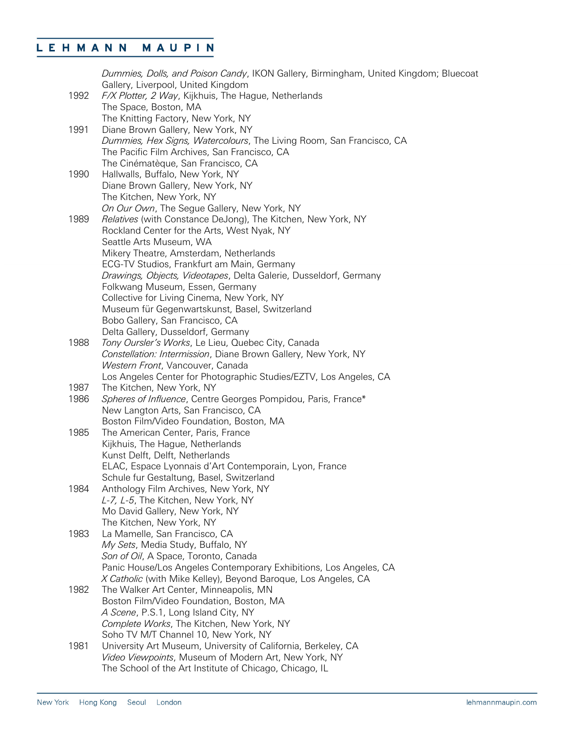|      | Dummies, Dolls, and Poison Candy, IKON Gallery, Birmingham, United Kingdom; Bluecoat<br>Gallery, Liverpool, United Kingdom |
|------|----------------------------------------------------------------------------------------------------------------------------|
| 1992 | F/X Plotter, 2 Way, Kijkhuis, The Hague, Netherlands<br>The Space, Boston, MA<br>The Knitting Factory, New York, NY        |
| 1991 | Diane Brown Gallery, New York, NY                                                                                          |
|      | Dummies, Hex Signs, Watercolours, The Living Room, San Francisco, CA                                                       |
|      | The Pacific Film Archives, San Francisco, CA                                                                               |
|      | The Cinématèque, San Francisco, CA                                                                                         |
| 1990 | Hallwalls, Buffalo, New York, NY                                                                                           |
|      | Diane Brown Gallery, New York, NY                                                                                          |
|      | The Kitchen, New York, NY                                                                                                  |
|      | On Our Own, The Segue Gallery, New York, NY                                                                                |
| 1989 | Relatives (with Constance DeJong), The Kitchen, New York, NY                                                               |
|      | Rockland Center for the Arts, West Nyak, NY                                                                                |
|      | Seattle Arts Museum, WA                                                                                                    |
|      | Mikery Theatre, Amsterdam, Netherlands                                                                                     |
|      | ECG-TV Studios, Frankfurt am Main, Germany                                                                                 |
|      | Drawings, Objects, Videotapes, Delta Galerie, Dusseldorf, Germany                                                          |
|      | Folkwang Museum, Essen, Germany                                                                                            |
|      | Collective for Living Cinema, New York, NY                                                                                 |
|      | Museum für Gegenwartskunst, Basel, Switzerland                                                                             |
|      | Bobo Gallery, San Francisco, CA                                                                                            |
|      | Delta Gallery, Dusseldorf, Germany                                                                                         |
| 1988 | Tony Oursler's Works, Le Lieu, Quebec City, Canada                                                                         |
|      | Constellation: Intermission, Diane Brown Gallery, New York, NY                                                             |
|      | Western Front, Vancouver, Canada                                                                                           |
|      | Los Angeles Center for Photographic Studies/EZTV, Los Angeles, CA                                                          |
| 1987 | The Kitchen, New York, NY                                                                                                  |
| 1986 | Spheres of Influence, Centre Georges Pompidou, Paris, France*                                                              |
|      | New Langton Arts, San Francisco, CA                                                                                        |
|      | Boston Film/Video Foundation, Boston, MA                                                                                   |
| 1985 | The American Center, Paris, France                                                                                         |
|      | Kijkhuis, The Hague, Netherlands                                                                                           |
|      | Kunst Delft, Delft, Netherlands                                                                                            |
|      | ELAC, Espace Lyonnais d'Art Contemporain, Lyon, France                                                                     |
|      | Schule fur Gestaltung, Basel, Switzerland                                                                                  |
| 1984 | Anthology Film Archives, New York, NY                                                                                      |
|      | L-7, L-5, The Kitchen, New York, NY                                                                                        |
|      | Mo David Gallery, New York, NY                                                                                             |
|      | The Kitchen, New York, NY                                                                                                  |
| 1983 | La Mamelle, San Francisco, CA<br>My Sets, Media Study, Buffalo, NY                                                         |
|      | Son of Oil, A Space, Toronto, Canada                                                                                       |
|      | Panic House/Los Angeles Contemporary Exhibitions, Los Angeles, CA                                                          |
|      | X Catholic (with Mike Kelley), Beyond Baroque, Los Angeles, CA                                                             |
| 1982 | The Walker Art Center, Minneapolis, MN                                                                                     |
|      | Boston Film/Video Foundation, Boston, MA                                                                                   |
|      | A Scene, P.S.1, Long Island City, NY                                                                                       |
|      | Complete Works, The Kitchen, New York, NY                                                                                  |
|      | Soho TV M/T Channel 10, New York, NY                                                                                       |
| 1981 | University Art Museum, University of California, Berkeley, CA                                                              |
|      | Video Viewpoints, Museum of Modern Art, New York, NY                                                                       |
|      | The School of the Art Institute of Chicago, Chicago, IL                                                                    |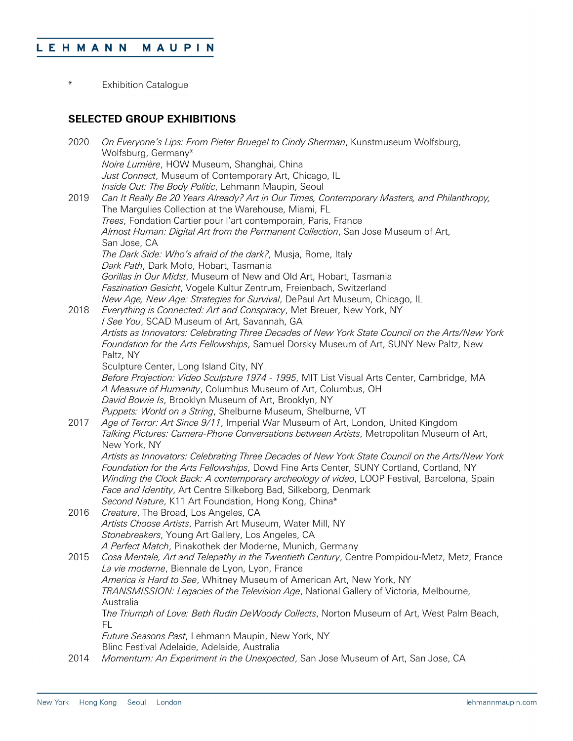\* Exhibition Catalogue

## **SELECTED GROUP EXHIBITIONS**

| 2020 | On Everyone's Lips: From Pieter Bruegel to Cindy Sherman, Kunstmuseum Wolfsburg,                |
|------|-------------------------------------------------------------------------------------------------|
|      | Wolfsburg, Germany*                                                                             |
|      | Noire Lumière, HOW Museum, Shanghai, China                                                      |
|      | Just Connect, Museum of Contemporary Art, Chicago, IL                                           |
|      | Inside Out: The Body Politic, Lehmann Maupin, Seoul                                             |
| 2019 | Can It Really Be 20 Years Already? Art in Our Times, Contemporary Masters, and Philanthropy,    |
|      | The Margulies Collection at the Warehouse, Miami, FL                                            |
|      | Trees, Fondation Cartier pour l'art contemporain, Paris, France                                 |
|      | Almost Human: Digital Art from the Permanent Collection, San Jose Museum of Art,                |
|      | San Jose, CA                                                                                    |
|      | The Dark Side: Who's afraid of the dark?, Musja, Rome, Italy                                    |
|      | Dark Path, Dark Mofo, Hobart, Tasmania                                                          |
|      | Gorillas in Our Midst, Museum of New and Old Art, Hobart, Tasmania                              |
|      | Faszination Gesicht, Vogele Kultur Zentrum, Freienbach, Switzerland                             |
|      | New Age, New Age: Strategies for Survival, DePaul Art Museum, Chicago, IL                       |
| 2018 | Everything is Connected: Art and Conspiracy, Met Breuer, New York, NY                           |
|      | I See You, SCAD Museum of Art, Savannah, GA                                                     |
|      | Artists as Innovators: Celebrating Three Decades of New York State Council on the Arts/New York |
|      | Foundation for the Arts Fellowships, Samuel Dorsky Museum of Art, SUNY New Paltz, New           |
|      | Paltz, NY                                                                                       |
|      | Sculpture Center, Long Island City, NY                                                          |
|      | Before Projection: Video Sculpture 1974 - 1995, MIT List Visual Arts Center, Cambridge, MA      |
|      | A Measure of Humanity, Columbus Museum of Art, Columbus, OH                                     |
|      | David Bowie Is, Brooklyn Museum of Art, Brooklyn, NY                                            |
|      | Puppets: World on a String, Shelburne Museum, Shelburne, VT                                     |
| 2017 | Age of Terror: Art Since 9/11, Imperial War Museum of Art, London, United Kingdom               |
|      | Talking Pictures: Camera-Phone Conversations between Artists, Metropolitan Museum of Art,       |
|      | New York, NY                                                                                    |
|      | Artists as Innovators: Celebrating Three Decades of New York State Council on the Arts/New York |
|      | Foundation for the Arts Fellowships, Dowd Fine Arts Center, SUNY Cortland, Cortland, NY         |
|      | Winding the Clock Back: A contemporary archeology of video, LOOP Festival, Barcelona, Spain     |
|      | Face and Identity, Art Centre Silkeborg Bad, Silkeborg, Denmark                                 |
|      | Second Nature, K11 Art Foundation, Hong Kong, China*                                            |
| 2016 | Creature, The Broad, Los Angeles, CA                                                            |
|      | Artists Choose Artists, Parrish Art Museum, Water Mill, NY                                      |
|      | Stonebreakers, Young Art Gallery, Los Angeles, CA                                               |
|      | A Perfect Match, Pinakothek der Moderne, Munich, Germany                                        |
| 2015 | Cosa Mentale, Art and Telepathy in the Twentieth Century, Centre Pompidou-Metz, Metz, France    |
|      | La vie moderne, Biennale de Lyon, Lyon, France                                                  |
|      | America is Hard to See, Whitney Museum of American Art, New York, NY                            |
|      | TRANSMISSION: Legacies of the Television Age, National Gallery of Victoria, Melbourne,          |
|      | Australia                                                                                       |
|      | The Triumph of Love: Beth Rudin DeWoody Collects, Norton Museum of Art, West Palm Beach,        |
|      | FL                                                                                              |
|      | Future Seasons Past, Lehmann Maupin, New York, NY                                               |
|      | Blinc Festival Adelaide, Adelaide, Australia                                                    |
| 2014 | Momentum: An Experiment in the Unexpected, San Jose Museum of Art, San Jose, CA                 |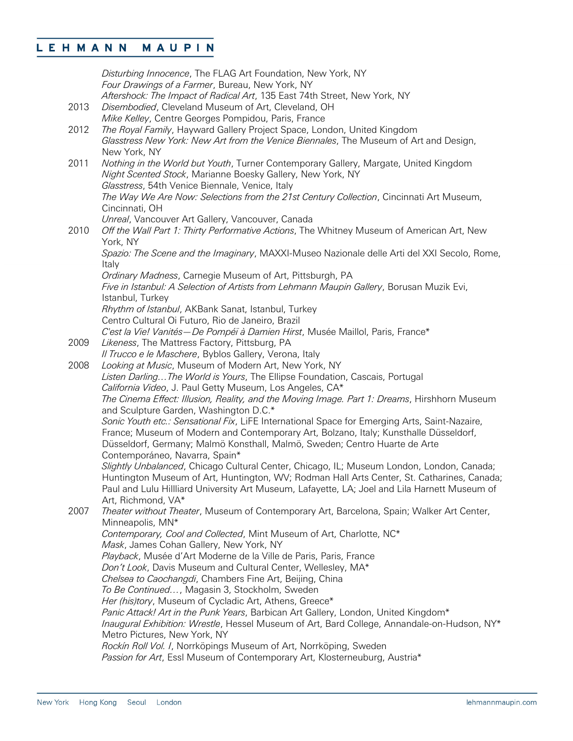|      | Disturbing Innocence, The FLAG Art Foundation, New York, NY<br>Four Drawings of a Farmer, Bureau, New York, NY                                                                                                                                                       |
|------|----------------------------------------------------------------------------------------------------------------------------------------------------------------------------------------------------------------------------------------------------------------------|
| 2013 | Aftershock: The Impact of Radical Art, 135 East 74th Street, New York, NY                                                                                                                                                                                            |
|      | Disembodied, Cleveland Museum of Art, Cleveland, OH<br>Mike Kelley, Centre Georges Pompidou, Paris, France                                                                                                                                                           |
| 2012 | The Royal Family, Hayward Gallery Project Space, London, United Kingdom                                                                                                                                                                                              |
|      | Glasstress New York: New Art from the Venice Biennales, The Museum of Art and Design,<br>New York, NY                                                                                                                                                                |
| 2011 | Nothing in the World but Youth, Turner Contemporary Gallery, Margate, United Kingdom<br>Night Scented Stock, Marianne Boesky Gallery, New York, NY<br>Glasstress, 54th Venice Biennale, Venice, Italy                                                                |
|      | The Way We Are Now: Selections from the 21st Century Collection, Cincinnati Art Museum,<br>Cincinnati, OH                                                                                                                                                            |
| 2010 | Unreal, Vancouver Art Gallery, Vancouver, Canada<br>Off the Wall Part 1: Thirty Performative Actions, The Whitney Museum of American Art, New<br>York, NY                                                                                                            |
|      | Spazio: The Scene and the Imaginary, MAXXI-Museo Nazionale delle Arti del XXI Secolo, Rome,<br>Italy                                                                                                                                                                 |
|      | Ordinary Madness, Carnegie Museum of Art, Pittsburgh, PA<br>Five in Istanbul: A Selection of Artists from Lehmann Maupin Gallery, Borusan Muzik Evi,<br>Istanbul, Turkey                                                                                             |
|      | Rhythm of Istanbul, AKBank Sanat, Istanbul, Turkey                                                                                                                                                                                                                   |
|      | Centro Cultural Oi Futuro, Rio de Janeiro, Brazil                                                                                                                                                                                                                    |
|      | C'est la Vie! Vanités-De Pompéï à Damien Hirst, Musée Maillol, Paris, France*                                                                                                                                                                                        |
| 2009 | Likeness, The Mattress Factory, Pittsburg, PA                                                                                                                                                                                                                        |
| 2008 | Il Trucco e le Maschere, Byblos Gallery, Verona, Italy<br>Looking at Music, Museum of Modern Art, New York, NY                                                                                                                                                       |
|      | Listen DarlingThe World is Yours, The Ellipse Foundation, Cascais, Portugal                                                                                                                                                                                          |
|      | California Video, J. Paul Getty Museum, Los Angeles, CA*                                                                                                                                                                                                             |
|      | The Cinema Effect: Illusion, Reality, and the Moving Image. Part 1: Dreams, Hirshhorn Museum<br>and Sculpture Garden, Washington D.C.*                                                                                                                               |
|      | Sonic Youth etc.: Sensational Fix, LiFE International Space for Emerging Arts, Saint-Nazaire,<br>France; Museum of Modern and Contemporary Art, Bolzano, Italy; Kunsthalle Düsseldorf,<br>Düsseldorf, Germany; Malmö Konsthall, Malmö, Sweden; Centro Huarte de Arte |
|      | Contemporáneo, Navarra, Spain*<br>Slightly Unbalanced, Chicago Cultural Center, Chicago, IL; Museum London, London, Canada;                                                                                                                                          |
|      | Huntington Museum of Art, Huntington, WV; Rodman Hall Arts Center, St. Catharines, Canada;<br>Paul and Lulu Hillliard University Art Museum, Lafayette, LA; Joel and Lila Harnett Museum of                                                                          |
| 2007 | Art, Richmond, VA*<br>Theater without Theater, Museum of Contemporary Art, Barcelona, Spain; Walker Art Center,                                                                                                                                                      |
|      | Minneapolis, MN*<br>Contemporary, Cool and Collected, Mint Museum of Art, Charlotte, NC*                                                                                                                                                                             |
|      | Mask, James Cohan Gallery, New York, NY                                                                                                                                                                                                                              |
|      | Playback, Musée d'Art Moderne de la Ville de Paris, Paris, France                                                                                                                                                                                                    |
|      | Don't Look, Davis Museum and Cultural Center, Wellesley, MA*                                                                                                                                                                                                         |
|      | Chelsea to Caochangdi, Chambers Fine Art, Beijing, China<br>To Be Continued, Magasin 3, Stockholm, Sweden                                                                                                                                                            |
|      | Her (his)tory, Museum of Cycladic Art, Athens, Greece*                                                                                                                                                                                                               |
|      | Panic Attack! Art in the Punk Years, Barbican Art Gallery, London, United Kingdom*<br>Inaugural Exhibition: Wrestle, Hessel Museum of Art, Bard College, Annandale-on-Hudson, NY*                                                                                    |
|      | Metro Pictures, New York, NY<br>Rockín Roll Vol. I, Norrköpings Museum of Art, Norrköping, Sweden<br>Passion for Art, Essl Museum of Contemporary Art, Klosterneuburg, Austria*                                                                                      |
|      |                                                                                                                                                                                                                                                                      |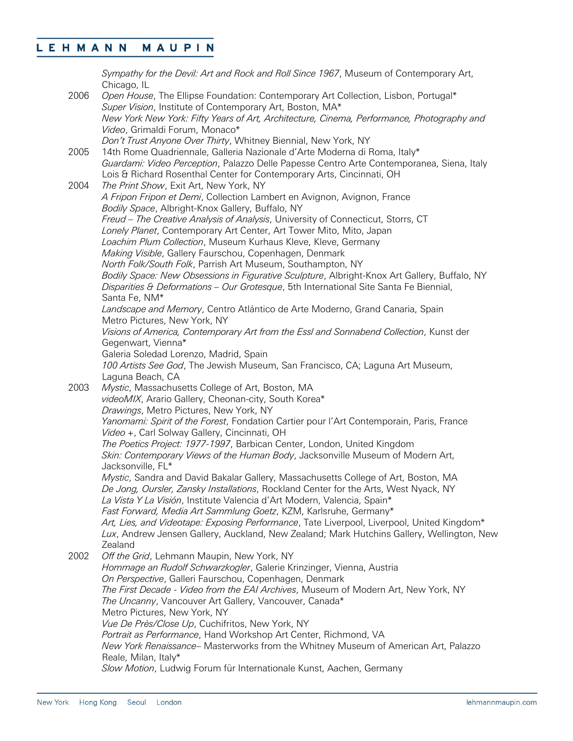*Sympathy for the Devil: Art and Rock and Roll Since 1967*, Museum of Contemporary Art, Chicago, IL 2006 *Open House*, The Ellipse Foundation: Contemporary Art Collection, Lisbon, Portugal\* *Super Vision*, Institute of Contemporary Art, Boston, MA\* *New York New York: Fifty Years of Art, Architecture, Cinema, Performance, Photography and Video*, Grimaldi Forum, Monaco\* *Don't Trust Anyone Over Thirty*, Whitney Biennial, New York, NY 2005 14th Rome Quadriennale, Galleria Nazionale d'Arte Moderna di Roma, Italy\* *Guardami: Video Perception*, Palazzo Delle Papesse Centro Arte Contemporanea, Siena, Italy Lois & Richard Rosenthal Center for Contemporary Arts, Cincinnati, OH 2004 *The Print Show*, Exit Art, New York, NY *A Fripon Fripon et Demi*, Collection Lambert en Avignon, Avignon, France *Bodily Space*, Albright-Knox Gallery, Buffalo, NY *Freud – The Creative Analysis of Analysis*, University of Connecticut, Storrs, CT *Lonely Planet*, Contemporary Art Center, Art Tower Mito, Mito, Japan *Loachim Plum Collection*, Museum Kurhaus Kleve, Kleve, Germany *Making Visible*, Gallery Faurschou, Copenhagen, Denmark *North Folk/South Folk*, Parrish Art Museum, Southampton, NY *Bodily Space: New Obsessions in Figurative Sculpture*, Albright-Knox Art Gallery, Buffalo, NY *Disparities & Deformations – Our Grotesque*, 5th International Site Santa Fe Biennial, Santa Fe, NM\* *Landscape and Memory*, Centro Atlántico de Arte Moderno, Grand Canaria, Spain Metro Pictures, New York, NY *Visions of America, Contemporary Art from the Essl and Sonnabend Collection*, Kunst der Gegenwart, Vienna\* Galeria Soledad Lorenzo, Madrid, Spain *100 Artists See God*, The Jewish Museum, San Francisco, CA; Laguna Art Museum, Laguna Beach, CA 2003 *Mystic*, Massachusetts College of Art, Boston, MA *videoMIX*, Arario Gallery, Cheonan-city, South Korea\* *Drawings*, Metro Pictures, New York, NY *Yanomami: Spirit of the Forest*, Fondation Cartier pour l'Art Contemporain, Paris, France *Video +*, Carl Solway Gallery, Cincinnati, OH *The Poetics Project: 1977-1997*, Barbican Center, London, United Kingdom *Skin: Contemporary Views of the Human Body*, Jacksonville Museum of Modern Art, Jacksonville, FL\* *Mystic*, Sandra and David Bakalar Gallery, Massachusetts College of Art, Boston, MA *De Jong, Oursler, Zansky Installations*, Rockland Center for the Arts, West Nyack, NY *La Vista Y La Visión*, Institute Valencia d'Art Modern, Valencia, Spain\* *Fast Forward, Media Art Sammlung Goetz*, KZM, Karlsruhe, Germany\* *Art, Lies, and Videotape: Exposing Performance*, Tate Liverpool, Liverpool, United Kingdom\* *Lux*, Andrew Jensen Gallery, Auckland, New Zealand; Mark Hutchins Gallery, Wellington, New Zealand 2002 *Off the Grid*, Lehmann Maupin, New York, NY *Hommage an Rudolf Schwarzkogler*, Galerie Krinzinger, Vienna, Austria *On Perspective*, Galleri Faurschou, Copenhagen, Denmark *The First Decade - Video from the EAI Archives*, Museum of Modern Art, New York, NY *The Uncanny*, Vancouver Art Gallery, Vancouver, Canada\* Metro Pictures, New York, NY *Vue De Près/Close Up*, Cuchifritos, New York, NY *Portrait as Performance*, Hand Workshop Art Center, Richmond, VA *New York Renaissance*– Masterworks from the Whitney Museum of American Art, Palazzo Reale, Milan, Italy\* *Slow Motion*, Ludwig Forum für Internationale Kunst, Aachen, Germany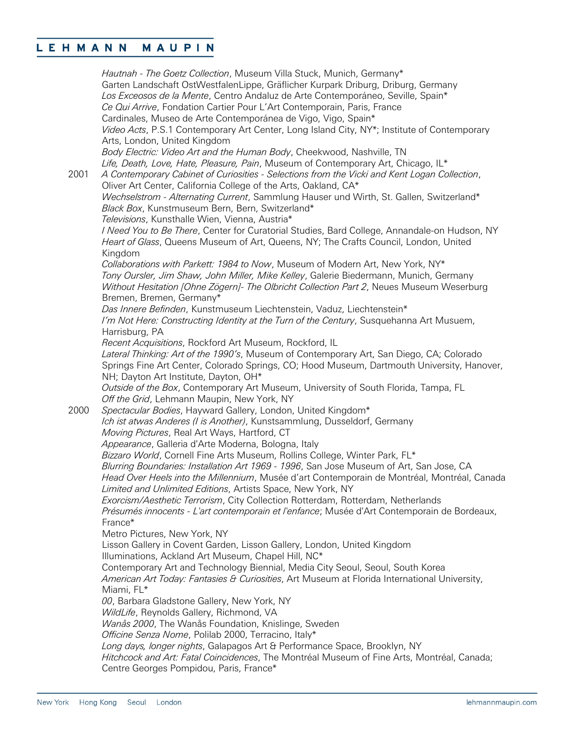#### MAUPIN EHMANN

*Hautnah - The Goetz Collection*, Museum Villa Stuck, Munich, Germany\* Garten Landschaft OstWestfalenLippe, Gräflicher Kurpark Driburg, Driburg, Germany *Los Exceosos de la Mente*, Centro Andaluz de Arte Contemporáneo, Seville, Spain\* *Ce Qui Arrive*, Fondation Cartier Pour L'Art Contemporain, Paris, France Cardinales, Museo de Arte Contemporánea de Vigo, Vigo, Spain\* *Video Acts*, P.S.1 Contemporary Art Center, Long Island City, NY\*; Institute of Contemporary Arts, London, United Kingdom *Body Electric: Video Art and the Human Body*, Cheekwood, Nashville, TN *Life, Death, Love, Hate, Pleasure, Pain*, Museum of Contemporary Art, Chicago, IL\* 2001 *A Contemporary Cabinet of Curiosities - Selections from the Vicki and Kent Logan Collection*, Oliver Art Center, California College of the Arts, Oakland, CA\* *Wechselstrom - Alternating Current*, Sammlung Hauser und Wirth, St. Gallen, Switzerland\* *Black Box*, Kunstmuseum Bern, Bern, Switzerland\* *Televisions*, Kunsthalle Wien, Vienna, Austria\* *I Need You to Be There*, Center for Curatorial Studies, Bard College, Annandale-on Hudson, NY *Heart of Glass*, Queens Museum of Art, Queens, NY; The Crafts Council, London, United Kingdom *Collaborations with Parkett: 1984 to Now*, Museum of Modern Art, New York, NY\* *Tony Oursler, Jim Shaw, John Miller, Mike Kelley*, Galerie Biedermann, Munich, Germany *Without Hesitation [Ohne Zögern]- The Olbricht Collection Part 2*, Neues Museum Weserburg Bremen, Bremen, Germany\* *Das Innere Befinden*, Kunstmuseum Liechtenstein, Vaduz, Liechtenstein\* *I'm Not Here: Constructing Identity at the Turn of the Century*, Susquehanna Art Musuem, Harrisburg, PA *Recent Acquisitions*, Rockford Art Museum, Rockford, IL *Lateral Thinking: Art of the 1990's*, Museum of Contemporary Art, San Diego, CA; Colorado Springs Fine Art Center, Colorado Springs, CO; Hood Museum, Dartmouth University, Hanover, NH; Dayton Art Institute, Dayton, OH\* *Outside of the Box*, Contemporary Art Museum, University of South Florida, Tampa, FL *Off the Grid*, Lehmann Maupin, New York, NY 2000 *Spectacular Bodies*, Hayward Gallery, London, United Kingdom\* *Ich ist atwas Anderes (I is Another)*, Kunstsammlung, Dusseldorf, Germany *Moving Pictures*, Real Art Ways, Hartford, CT *Appearance*, Galleria d'Arte Moderna, Bologna, Italy *Bizzaro World*, Cornell Fine Arts Museum, Rollins College, Winter Park, FL\* *Blurring Boundaries: Installation Art 1969 - 1996*, San Jose Museum of Art, San Jose, CA *Head Over Heels into the Millennium*, Musée d'art Contemporain de Montréal, Montréal, Canada *Limited and Unlimited Editions*, Artists Space, New York, NY *Exorcism/Aesthetic Terrorism*, City Collection Rotterdam, Rotterdam, Netherlands *Présumés innocents - L'art contemporain et l'enfance*; Musée d'Art Contemporain de Bordeaux, France\* Metro Pictures, New York, NY Lisson Gallery in Covent Garden, Lisson Gallery, London, United Kingdom Illuminations, Ackland Art Museum, Chapel Hill, NC\* Contemporary Art and Technology Biennial, Media City Seoul, Seoul, South Korea *American Art Today: Fantasies & Curiosities*, Art Museum at Florida International University, Miami, FL\* *00*, Barbara Gladstone Gallery, New York, NY *WildLife*, Reynolds Gallery, Richmond, VA *Wanås 2000*, The Wanås Foundation, Knislinge, Sweden *Officine Senza Nome*, Polilab 2000, Terracino, Italy\* *Long days, longer nights*, Galapagos Art & Performance Space, Brooklyn, NY *Hitchcock and Art: Fatal Coincidences*, The Montréal Museum of Fine Arts, Montréal, Canada; Centre Georges Pompidou, Paris, France\*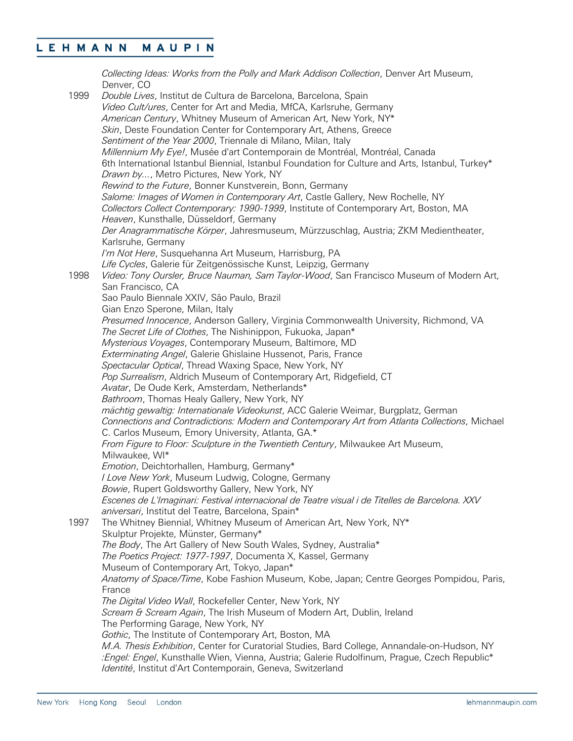*Collecting Ideas: Works from the Polly and Mark Addison Collection*, Denver Art Museum, Denver, CO 1999 *Double Lives*, Institut de Cultura de Barcelona, Barcelona, Spain *Video Cult/ures*, Center for Art and Media, MfCA, Karlsruhe, Germany *American Century*, Whitney Museum of American Art, New York, NY\* *Skin*, Deste Foundation Center for Contemporary Art, Athens, Greece *Sentiment of the Year 2000*, Triennale di Milano, Milan, Italy *Millennium My Eye!*, Musée d'art Contemporain de Montréal, Montréal, Canada 6th International Istanbul Biennial, Istanbul Foundation for Culture and Arts, Istanbul, Turkey\* *Drawn by...*, Metro Pictures, New York, NY *Rewind to the Future*, Bonner Kunstverein, Bonn, Germany *Salome: Images of Women in Contemporary Art*, Castle Gallery, New Rochelle, NY *Collectors Collect Contemporary: 1990-1999*, Institute of Contemporary Art, Boston, MA *Heaven*, Kunsthalle, Düsseldorf, Germany *Der Anagrammatische Körper*, Jahresmuseum, Mürzzuschlag, Austria; ZKM Medientheater, Karlsruhe, Germany *I'm Not Here*, Susquehanna Art Museum, Harrisburg, PA *Life Cycles*, Galerie für Zeitgenössische Kunst, Leipzig, Germany 1998 *Video: Tony Oursler, Bruce Nauman, Sam Taylor-Wood*, San Francisco Museum of Modern Art, San Francisco, CA Sao Paulo Biennale XXIV, São Paulo, Brazil Gian Enzo Sperone, Milan, Italy *Presumed Innocence*, Anderson Gallery, Virginia Commonwealth University, Richmond, VA *The Secret Life of Clothes*, The Nishinippon, Fukuoka, Japan\* *Mysterious Voyages*, Contemporary Museum, Baltimore, MD *Exterminating Angel*, Galerie Ghislaine Hussenot, Paris, France *Spectacular Optical*, Thread Waxing Space, New York, NY *Pop Surrealism*, Aldrich Museum of Contemporary Art, Ridgefield, CT *Avatar*, De Oude Kerk, Amsterdam, Netherlands\* *Bathroom*, Thomas Healy Gallery, New York, NY *mächtig gewaltig: Internationale Videokunst*, ACC Galerie Weimar, Burgplatz, German *Connections and Contradictions: Modern and Contemporary Art from Atlanta Collections*, Michael C. Carlos Museum, Emory University, Atlanta, GA.\* *From Figure to Floor: Sculpture in the Twentieth Century*, Milwaukee Art Museum, Milwaukee, WI\* *Emotion*, Deichtorhallen, Hamburg, Germany\* *I Love New York*, Museum Ludwig, Cologne, Germany *Bowie*, Rupert Goldsworthy Gallery, New York, NY *Escenes de L'Imaginari: Festival internacional de Teatre visual i de Titelles de Barcelona. XXV aniversari*, Institut del Teatre, Barcelona, Spain\* 1997 The Whitney Biennial, Whitney Museum of American Art, New York, NY\* Skulptur Projekte, Münster, Germany\* *The Body*, The Art Gallery of New South Wales, Sydney, Australia\* *The Poetics Project: 1977-1997*, Documenta X, Kassel, Germany Museum of Contemporary Art, Tokyo, Japan\* *Anatomy of Space/Time*, Kobe Fashion Museum, Kobe, Japan; Centre Georges Pompidou, Paris, France *The Digital Video Wall*, Rockefeller Center, New York, NY *Scream & Scream Again*, The Irish Museum of Modern Art, Dublin, Ireland The Performing Garage, New York, NY *Gothic*, The Institute of Contemporary Art, Boston, MA *M.A. Thesis Exhibition*, Center for Curatorial Studies, Bard College, Annandale-on-Hudson, NY *:Engel: Engel*, Kunsthalle Wien, Vienna, Austria; Galerie Rudolfinum, Prague, Czech Republic\* *Identité*, Institut d'Art Contemporain, Geneva, Switzerland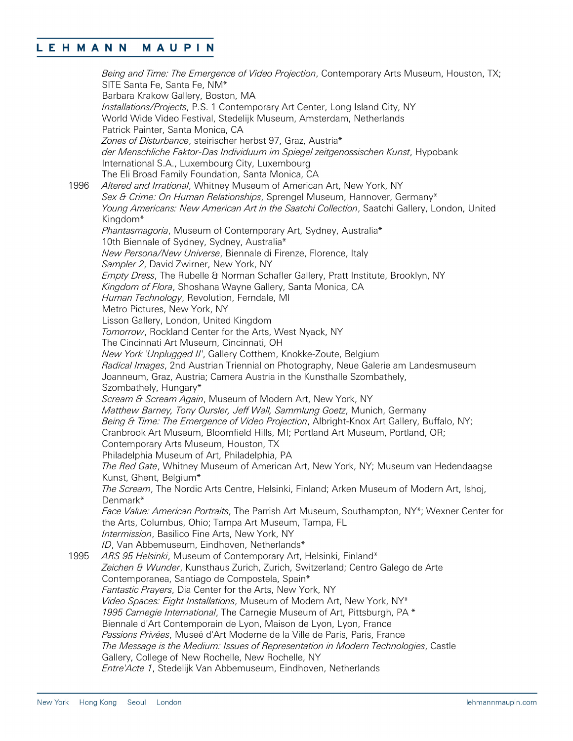#### MAUPIN LEHMANN

*Being and Time: The Emergence of Video Projection*, Contemporary Arts Museum, Houston, TX; SITE Santa Fe, Santa Fe, NM\* Barbara Krakow Gallery, Boston, MA *Installations/Projects*, P.S. 1 Contemporary Art Center, Long Island City, NY World Wide Video Festival, Stedelijk Museum, Amsterdam, Netherlands Patrick Painter, Santa Monica, CA *Zones of Disturbance*, steirischer herbst 97, Graz, Austria\* *der Menschliche Faktor-Das Individuum im Spiegel zeitgenossischen Kunst*, Hypobank International S.A., Luxembourg City, Luxembourg The Eli Broad Family Foundation, Santa Monica, CA 1996 *Altered and Irrational*, Whitney Museum of American Art, New York, NY *Sex & Crime: On Human Relationships*, Sprengel Museum, Hannover, Germany\* *Young Americans: New American Art in the Saatchi Collection*, Saatchi Gallery, London, United Kingdom\* *Phantasmagoria*, Museum of Contemporary Art, Sydney, Australia\* 10th Biennale of Sydney, Sydney, Australia\* *New Persona/New Universe*, Biennale di Firenze, Florence, Italy *Sampler 2*, David Zwirner, New York, NY *Empty Dress*, The Rubelle & Norman Schafler Gallery, Pratt Institute, Brooklyn, NY *Kingdom of Flora*, Shoshana Wayne Gallery, Santa Monica, CA *Human Technology*, Revolution, Ferndale, MI Metro Pictures, New York, NY Lisson Gallery, London, United Kingdom *Tomorrow*, Rockland Center for the Arts, West Nyack, NY The Cincinnati Art Museum, Cincinnati, OH *New York 'Unplugged II'*, Gallery Cotthem, Knokke-Zoute, Belgium *Radical Images*, 2nd Austrian Triennial on Photography, Neue Galerie am Landesmuseum Joanneum, Graz, Austria; Camera Austria in the Kunsthalle Szombathely, Szombathely, Hungary\* *Scream & Scream Again*, Museum of Modern Art, New York, NY *Matthew Barney, Tony Oursler, Jeff Wall, Sammlung Goetz*, Munich, Germany *Being & Time: The Emergence of Video Projection*, Albright-Knox Art Gallery, Buffalo, NY; Cranbrook Art Museum, Bloomfield Hills, MI; Portland Art Museum, Portland, OR; Contemporary Arts Museum, Houston, TX Philadelphia Museum of Art, Philadelphia, PA *The Red Gate*, Whitney Museum of American Art, New York, NY; Museum van Hedendaagse Kunst, Ghent, Belgium\* *The Scream*, The Nordic Arts Centre, Helsinki, Finland; Arken Museum of Modern Art, Ishoj, Denmark\* *Face Value: American Portraits*, The Parrish Art Museum, Southampton, NY\*; Wexner Center for the Arts, Columbus, Ohio; Tampa Art Museum, Tampa, FL *Intermission*, Basilico Fine Arts, New York, NY *ID*, Van Abbemuseum, Eindhoven, Netherlands\* 1995 *ARS 95 Helsinki*, Museum of Contemporary Art, Helsinki, Finland\* *Zeichen & Wunder*, Kunsthaus Zurich, Zurich, Switzerland; Centro Galego de Arte Contemporanea, Santiago de Compostela, Spain\* *Fantastic Prayers*, Dia Center for the Arts, New York, NY *Video Spaces: Eight Installations*, Museum of Modern Art, New York, NY\* *1995 Carnegie International*, The Carnegie Museum of Art, Pittsburgh, PA \* Biennale d'Art Contemporain de Lyon, Maison de Lyon, Lyon, France *Passions Privées*, Museé d'Art Moderne de la Ville de Paris, Paris, France *The Message is the Medium: Issues of Representation in Modern Technologies*, Castle Gallery, College of New Rochelle, New Rochelle, NY *Entre'Acte 1*, Stedelijk Van Abbemuseum, Eindhoven, Netherlands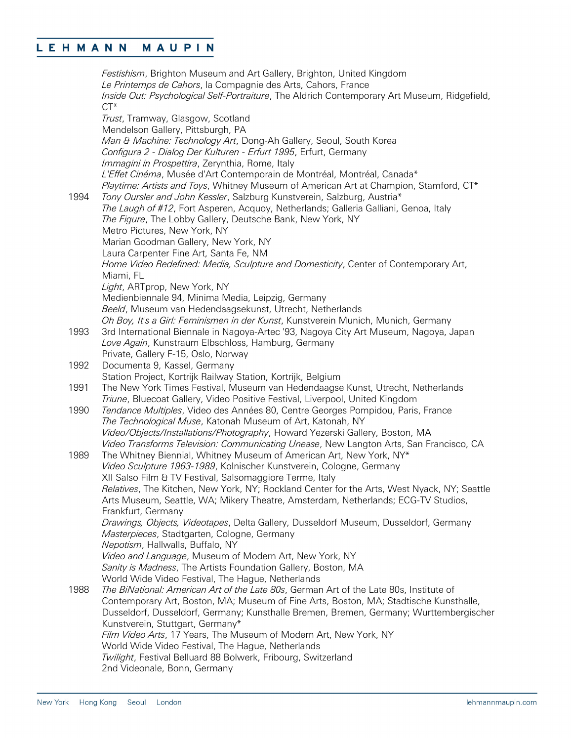*Festishism*, Brighton Museum and Art Gallery, Brighton, United Kingdom *Le Printemps de Cahors*, la Compagnie des Arts, Cahors, France *Inside Out: Psychological Self-Portraiture*, The Aldrich Contemporary Art Museum, Ridgefield,  $CT*$ *Trust*, Tramway, Glasgow, Scotland Mendelson Gallery, Pittsburgh, PA *Man & Machine: Technology Art*, Dong-Ah Gallery, Seoul, South Korea *Configura 2 - Dialog Der Kulturen - Erfurt 1995*, Erfurt, Germany *Immagini in Prospettira*, Zerynthia, Rome, Italy *L'Effet Cinéma*, Musée d'Art Contemporain de Montréal, Montréal, Canada\* *Playtime: Artists and Toys*, Whitney Museum of American Art at Champion, Stamford, CT\* 1994 *Tony Oursler and John Kessler*, Salzburg Kunstverein, Salzburg, Austria\* *The Laugh of #12*, Fort Asperen, Acquoy, Netherlands; Galleria Galliani, Genoa, Italy *The Figure*, The Lobby Gallery, Deutsche Bank, New York, NY Metro Pictures, New York, NY Marian Goodman Gallery, New York, NY Laura Carpenter Fine Art, Santa Fe, NM *Home Video Redefined: Media, Sculpture and Domesticity*, Center of Contemporary Art, Miami, FL *Light*, ARTprop, New York, NY Medienbiennale 94, Minima Media, Leipzig, Germany *Beeld*, Museum van Hedendaagsekunst, Utrecht, Netherlands *Oh Boy, It's a Girl: Feminismen in der Kunst*, Kunstverein Munich, Munich, Germany 1993 3rd International Biennale in Nagoya-Artec '93, Nagoya City Art Museum, Nagoya, Japan *Love Again*, Kunstraum Elbschloss, Hamburg, Germany Private, Gallery F-15, Oslo, Norway 1992 Documenta 9, Kassel, Germany Station Project, Kortrijk Railway Station, Kortrijk, Belgium 1991 The New York Times Festival, Museum van Hedendaagse Kunst, Utrecht, Netherlands *Triune*, Bluecoat Gallery, Video Positive Festival, Liverpool, United Kingdom 1990 *Tendance Multiples*, Video des Années 80, Centre Georges Pompidou, Paris, France *The Technological Muse*, Katonah Museum of Art, Katonah, NY *Video/Objects/Installations/Photography*, Howard Yezerski Gallery, Boston, MA *Video Transforms Television: Communicating Unease*, New Langton Arts, San Francisco, CA 1989 The Whitney Biennial, Whitney Museum of American Art, New York, NY\* *Video Sculpture 1963-1989*, Kolnischer Kunstverein, Cologne, Germany XII Salso Film & TV Festival, Salsomaggiore Terme, Italy *Relatives*, The Kitchen, New York, NY; Rockland Center for the Arts, West Nyack, NY; Seattle Arts Museum, Seattle, WA; Mikery Theatre, Amsterdam, Netherlands; ECG-TV Studios, Frankfurt, Germany *Drawings, Objects, Videotapes*, Delta Gallery, Dusseldorf Museum, Dusseldorf, Germany *Masterpieces*, Stadtgarten, Cologne, Germany *Nepotism*, Hallwalls, Buffalo, NY *Video and Language*, Museum of Modern Art, New York, NY *Sanity is Madness*, The Artists Foundation Gallery, Boston, MA World Wide Video Festival, The Hague, Netherlands 1988 *The BiNational: American Art of the Late 80s*, German Art of the Late 80s, Institute of Contemporary Art, Boston, MA; Museum of Fine Arts, Boston, MA; Stadtische Kunsthalle, Dusseldorf, Dusseldorf, Germany; Kunsthalle Bremen, Bremen, Germany; Wurttembergischer Kunstverein, Stuttgart, Germany\* *Film Video Arts*, 17 Years, The Museum of Modern Art, New York, NY World Wide Video Festival, The Hague, Netherlands *Twilight*, Festival Belluard 88 Bolwerk, Fribourg, Switzerland 2nd Videonale, Bonn, Germany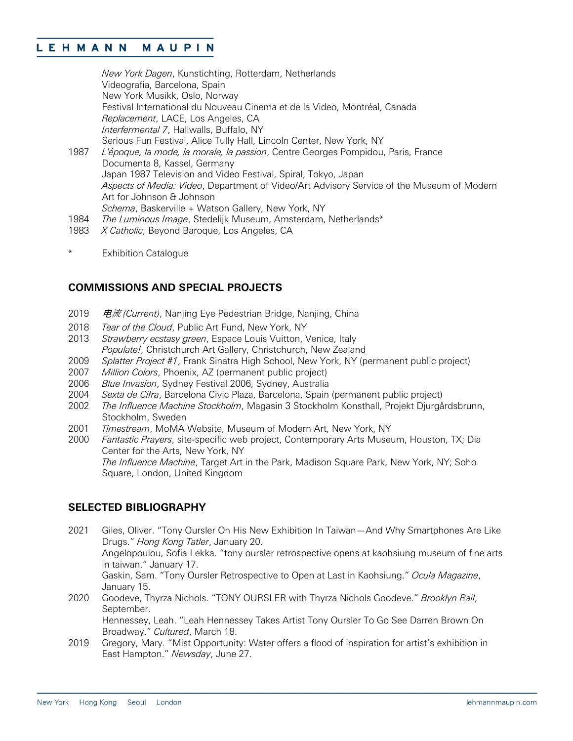#### MAUPIN **LEHMANN**

*New York Dagen*, Kunstichting, Rotterdam, Netherlands Videografia, Barcelona, Spain New York Musikk, Oslo, Norway Festival International du Nouveau Cinema et de la Video, Montréal, Canada *Replacement*, LACE, Los Angeles, CA *Interfermental 7*, Hallwalls, Buffalo, NY Serious Fun Festival, Alice Tully Hall, Lincoln Center, New York, NY 1987 *L'époque, la mode, la morale, la passion*, Centre Georges Pompidou, Paris, France Documenta 8, Kassel, Germany Japan 1987 Television and Video Festival, Spiral, Tokyo, Japan *Aspects of Media: Video*, Department of Video/Art Advisory Service of the Museum of Modern Art for Johnson & Johnson *Schema*, Baskerville + Watson Gallery, New York, NY 1984 *The Luminous Image*, Stedelijk Museum, Amsterdam, Netherlands\*<br>1983 *X Catholic*, Bevond Barogue, Los Angeles, CA X Catholic, Beyond Baroque, Los Angeles, CA

- 
- \* Exhibition Catalogue

### **COMMISSIONS AND SPECIAL PROJECTS**

- 2019 电流 *(Current)*, Nanjing Eye Pedestrian Bridge, Nanjing, China
- 2018 *Tear of the Cloud*, Public Art Fund, New York, NY
- **Strawberry ecstasy green, Espace Louis Vuitton, Venice, Italy** *Populate!*, Christchurch Art Gallery, Christchurch, New Zealand
- 2009 *Splatter Project #1*, Frank Sinatra High School, New York, NY (permanent public project)
- 2007 *Million Colors*, Phoenix, AZ (permanent public project)
- 2006 *Blue Invasion*, Sydney Festival 2006, Sydney, Australia
- 2004 *Sexta de Cifra*, Barcelona Civic Plaza, Barcelona, Spain (permanent public project)
- 2002 *The Influence Machine Stockholm*, Magasin 3 Stockholm Konsthall, Projekt Djurgårdsbrunn, Stockholm, Sweden
- 2001 *Timestream*, MoMA Website, Museum of Modern Art, New York, NY
- 2000 *Fantastic Prayers*, site-specific web project, Contemporary Arts Museum, Houston, TX; Dia Center for the Arts, New York, NY *The Influence Machine*, Target Art in the Park, Madison Square Park, New York, NY; Soho Square, London, United Kingdom

### **SELECTED BIBLIOGRAPHY**

2021 Giles, Oliver. "Tony Oursler On His New Exhibition In Taiwan—And Why Smartphones Are Like Drugs." *Hong Kong Tatler*, January 20. Angelopoulou, Sofia Lekka. "tony oursler retrospective opens at kaohsiung museum of fine arts in taiwan." January 17. Gaskin, Sam. "Tony Oursler Retrospective to Open at Last in Kaohsiung." *Ocula Magazine*, January 15. 2020 Goodeve, Thyrza Nichols. "TONY OURSLER with Thyrza Nichols Goodeve." *Brooklyn Rail*, September.

Hennessey, Leah. "Leah Hennessey Takes Artist Tony Oursler To Go See Darren Brown On Broadway." *Cultured*, March 18.

2019 Gregory, Mary. "Mist Opportunity: Water offers a flood of inspiration for artist's exhibition in East Hampton." *Newsday*, June 27.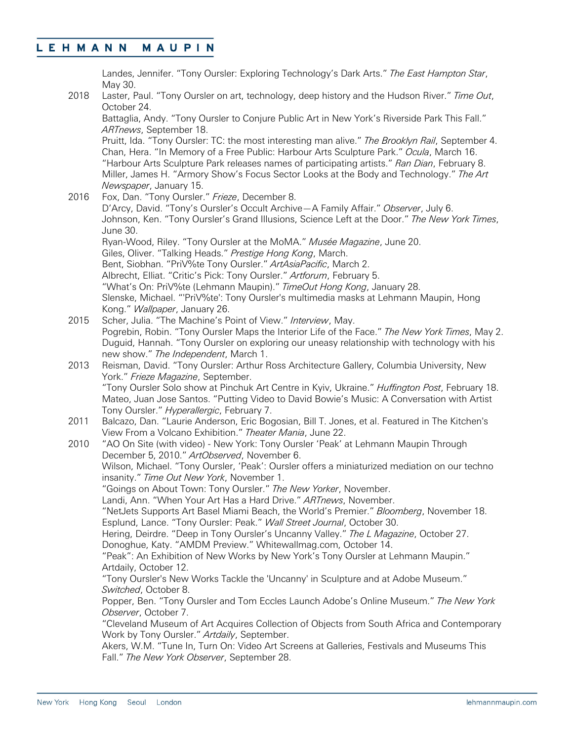|      | Landes, Jennifer. "Tony Oursler: Exploring Technology's Dark Arts." The East Hampton Star,<br>May 30.                                                                                                                                                                                                                                                                                  |
|------|----------------------------------------------------------------------------------------------------------------------------------------------------------------------------------------------------------------------------------------------------------------------------------------------------------------------------------------------------------------------------------------|
| 2018 | Laster, Paul. "Tony Oursler on art, technology, deep history and the Hudson River." Time Out,<br>October 24.                                                                                                                                                                                                                                                                           |
|      | Battaglia, Andy. "Tony Oursler to Conjure Public Art in New York's Riverside Park This Fall."<br>ARTnews, September 18.                                                                                                                                                                                                                                                                |
|      | Pruitt, Ida. "Tony Oursler: TC: the most interesting man alive." The Brooklyn Rail, September 4.<br>Chan, Hera. "In Memory of a Free Public: Harbour Arts Sculpture Park." Ocula, March 16.<br>"Harbour Arts Sculpture Park releases names of participating artists." Ran Dian, February 8.<br>Miller, James H. "Armory Show's Focus Sector Looks at the Body and Technology." The Art |
|      | Newspaper, January 15.                                                                                                                                                                                                                                                                                                                                                                 |
| 2016 | Fox, Dan. "Tony Oursler." Frieze, December 8.<br>D'Arcy, David. "Tony's Oursler's Occult Archive-A Family Affair." Observer, July 6.<br>Johnson, Ken. "Tony Oursler's Grand Illusions, Science Left at the Door." The New York Times,<br>June 30.                                                                                                                                      |
|      | Ryan-Wood, Riley. "Tony Oursler at the MoMA." Musée Magazine, June 20.                                                                                                                                                                                                                                                                                                                 |
|      | Giles, Oliver. "Talking Heads." Prestige Hong Kong, March.                                                                                                                                                                                                                                                                                                                             |
|      | Bent, Siobhan. "PriV%te Tony Oursler." ArtAsiaPacific, March 2.                                                                                                                                                                                                                                                                                                                        |
|      | Albrecht, Elliat. "Critic's Pick: Tony Oursler." Artforum, February 5.                                                                                                                                                                                                                                                                                                                 |
|      | "What's On: PriV%te (Lehmann Maupin)." TimeOut Hong Kong, January 28.                                                                                                                                                                                                                                                                                                                  |
|      | Slenske, Michael. "'PriV%te': Tony Oursler's multimedia masks at Lehmann Maupin, Hong<br>Kong." Wallpaper, January 26.                                                                                                                                                                                                                                                                 |
| 2015 | Scher, Julia. "The Machine's Point of View." Interview, May.                                                                                                                                                                                                                                                                                                                           |
|      | Pogrebin, Robin. "Tony Oursler Maps the Interior Life of the Face." The New York Times, May 2.<br>Duguid, Hannah. "Tony Oursler on exploring our uneasy relationship with technology with his<br>new show." The Independent, March 1.                                                                                                                                                  |
| 2013 |                                                                                                                                                                                                                                                                                                                                                                                        |
|      | Reisman, David. "Tony Oursler: Arthur Ross Architecture Gallery, Columbia University, New<br>York." Frieze Magazine, September.                                                                                                                                                                                                                                                        |
|      | "Tony Oursler Solo show at Pinchuk Art Centre in Kyiv, Ukraine." Huffington Post, February 18.<br>Mateo, Juan Jose Santos. "Putting Video to David Bowie's Music: A Conversation with Artist                                                                                                                                                                                           |
| 2011 | Tony Oursler." Hyperallergic, February 7.                                                                                                                                                                                                                                                                                                                                              |
|      | Balcazo, Dan. "Laurie Anderson, Eric Bogosian, Bill T. Jones, et al. Featured in The Kitchen's<br>View From a Volcano Exhibition." Theater Mania, June 22.                                                                                                                                                                                                                             |
| 2010 | "AO On Site (with video) - New York: Tony Oursler 'Peak' at Lehmann Maupin Through<br>December 5, 2010." ArtObserved, November 6.                                                                                                                                                                                                                                                      |
|      | Wilson, Michael. "Tony Oursler, 'Peak': Oursler offers a miniaturized mediation on our techno<br>insanity." Time Out New York, November 1.                                                                                                                                                                                                                                             |
|      | "Goings on About Town: Tony Oursler." The New Yorker, November.                                                                                                                                                                                                                                                                                                                        |
|      | Landi, Ann. "When Your Art Has a Hard Drive." ARTnews, November.                                                                                                                                                                                                                                                                                                                       |
|      | "NetJets Supports Art Basel Miami Beach, the World's Premier." Bloomberg, November 18.                                                                                                                                                                                                                                                                                                 |
|      | Esplund, Lance. "Tony Oursler: Peak." Wall Street Journal, October 30.                                                                                                                                                                                                                                                                                                                 |
|      | Hering, Deirdre. "Deep in Tony Oursler's Uncanny Valley." The L Magazine, October 27.                                                                                                                                                                                                                                                                                                  |
|      | Donoghue, Katy. "AMDM Preview." Whitewallmag.com, October 14.                                                                                                                                                                                                                                                                                                                          |
|      | "Peak": An Exhibition of New Works by New York's Tony Oursler at Lehmann Maupin."                                                                                                                                                                                                                                                                                                      |
|      | Artdaily, October 12.<br>"Tony Oursler's New Works Tackle the 'Uncanny' in Sculpture and at Adobe Museum."                                                                                                                                                                                                                                                                             |
|      | Switched, October 8.<br>Popper, Ben. "Tony Oursler and Tom Eccles Launch Adobe's Online Museum." The New York                                                                                                                                                                                                                                                                          |
|      | Observer, October 7.                                                                                                                                                                                                                                                                                                                                                                   |
|      | "Cleveland Museum of Art Acquires Collection of Objects from South Africa and Contemporary<br>Work by Tony Oursler." Artdaily, September.                                                                                                                                                                                                                                              |
|      | Akers, W.M. "Tune In, Turn On: Video Art Screens at Galleries, Festivals and Museums This<br>Fall." The New York Observer, September 28.                                                                                                                                                                                                                                               |
|      |                                                                                                                                                                                                                                                                                                                                                                                        |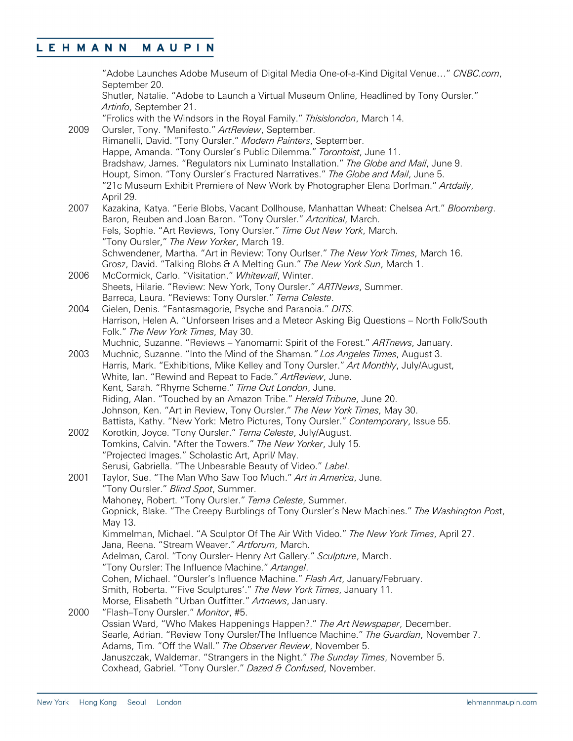|      | "Adobe Launches Adobe Museum of Digital Media One-of-a-Kind Digital Venue" CNBC.com,<br>September 20.                           |
|------|---------------------------------------------------------------------------------------------------------------------------------|
|      | Shutler, Natalie. "Adobe to Launch a Virtual Museum Online, Headlined by Tony Oursler."<br>Artinfo, September 21.               |
|      | "Frolics with the Windsors in the Royal Family." Thisislondon, March 14.                                                        |
| 2009 | Oursler, Tony. "Manifesto." ArtReview, September.                                                                               |
|      | Rimanelli, David. "Tony Oursler." Modern Painters, September.                                                                   |
|      | Happe, Amanda. "Tony Oursler's Public Dilemma." Torontoist, June 11.                                                            |
|      | Bradshaw, James. "Regulators nix Luminato Installation." The Globe and Mail, June 9.                                            |
|      | Houpt, Simon. "Tony Oursler's Fractured Narratives." The Globe and Mail, June 5.                                                |
|      | "21c Museum Exhibit Premiere of New Work by Photographer Elena Dorfman." Artdaily,                                              |
|      | April 29.                                                                                                                       |
| 2007 | Kazakina, Katya. "Eerie Blobs, Vacant Dollhouse, Manhattan Wheat: Chelsea Art." Bloomberg.                                      |
|      | Baron, Reuben and Joan Baron. "Tony Oursler." Artcritical, March.                                                               |
|      | Fels, Sophie. "Art Reviews, Tony Oursler." Time Out New York, March.                                                            |
|      | "Tony Oursler," The New Yorker, March 19.                                                                                       |
|      | Schwendener, Martha. "Art in Review: Tony Ourlser." The New York Times, March 16.                                               |
| 2006 | Grosz, David. "Talking Blobs & A Melting Gun." The New York Sun, March 1.<br>McCormick, Carlo. "Visitation." Whitewall, Winter. |
|      | Sheets, Hilarie. "Review: New York, Tony Oursler." ARTNews, Summer.                                                             |
|      | Barreca, Laura. "Reviews: Tony Oursler." Tema Celeste.                                                                          |
| 2004 | Gielen, Denis. "Fantasmagorie, Psyche and Paranoia." DITS.                                                                      |
|      | Harrison, Helen A. "Unforseen Irises and a Meteor Asking Big Questions - North Folk/South                                       |
|      | Folk." The New York Times, May 30.                                                                                              |
|      | Muchnic, Suzanne. "Reviews - Yanomami: Spirit of the Forest." ARTnews, January.                                                 |
| 2003 | Muchnic, Suzanne. "Into the Mind of the Shaman." Los Angeles Times, August 3.                                                   |
|      | Harris, Mark. "Exhibitions, Mike Kelley and Tony Oursler." Art Monthly, July/August,                                            |
|      | White, Ian. "Rewind and Repeat to Fade." ArtReview, June.                                                                       |
|      | Kent, Sarah. "Rhyme Scheme." Time Out London, June.                                                                             |
|      | Riding, Alan. "Touched by an Amazon Tribe." Herald Tribune, June 20.                                                            |
|      | Johnson, Ken. "Art in Review, Tony Oursler." The New York Times, May 30.                                                        |
|      | Battista, Kathy. "New York: Metro Pictures, Tony Oursler." Contemporary, Issue 55.                                              |
| 2002 | Korotkin, Joyce. "Tony Oursler." Tema Celeste, July/August.                                                                     |
|      | Tomkins, Calvin. "After the Towers." The New Yorker, July 15.<br>"Projected Images." Scholastic Art, April/ May.                |
|      | Serusi, Gabriella. "The Unbearable Beauty of Video." Label.                                                                     |
| 2001 | Taylor, Sue. "The Man Who Saw Too Much." Art in America, June.                                                                  |
|      | "Tony Oursler." <i>Blind Spot</i> , Summer.                                                                                     |
|      | Mahoney, Robert. "Tony Oursler." Tema Celeste, Summer.                                                                          |
|      | Gopnick, Blake. "The Creepy Burblings of Tony Oursler's New Machines." The Washington Post,                                     |
|      | May 13.                                                                                                                         |
|      | Kimmelman, Michael. "A Sculptor Of The Air With Video." The New York Times, April 27.                                           |
|      | Jana, Reena. "Stream Weaver." Artforum, March.                                                                                  |
|      | Adelman, Carol. "Tony Oursler- Henry Art Gallery." Sculpture, March.                                                            |
|      | "Tony Oursler: The Influence Machine." Artangel.                                                                                |
|      | Cohen, Michael. "Oursler's Influence Machine." Flash Art, January/February.                                                     |
|      | Smith, Roberta. "'Five Sculptures'." The New York Times, January 11.                                                            |
| 2000 | Morse, Elisabeth "Urban Outfitter." Artnews, January.<br>"Flash-Tony Oursler." Monitor, #5.                                     |
|      | Ossian Ward, "Who Makes Happenings Happen?." The Art Newspaper, December.                                                       |
|      | Searle, Adrian. "Review Tony Oursler/The Influence Machine." The Guardian, November 7.                                          |
|      | Adams, Tim. "Off the Wall." The Observer Review, November 5.                                                                    |
|      | Januszczak, Waldemar. "Strangers in the Night." The Sunday Times, November 5.                                                   |
|      | Coxhead, Gabriel. "Tony Oursler." Dazed & Confused, November.                                                                   |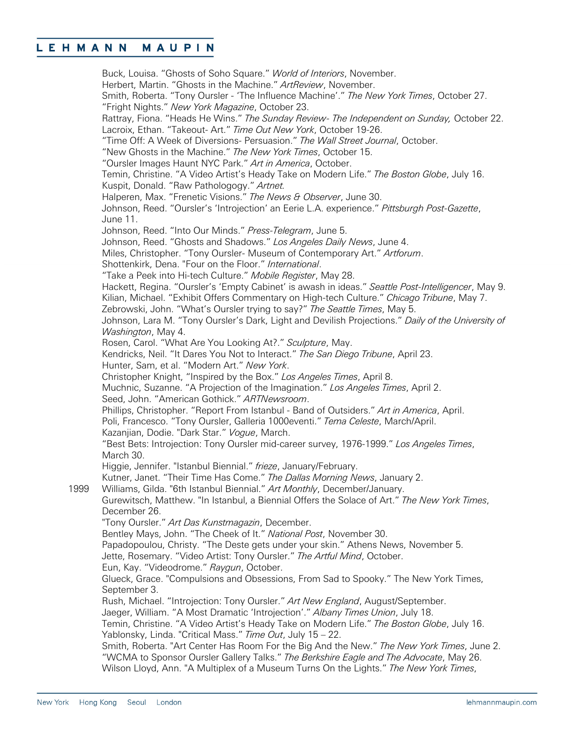Buck, Louisa. "Ghosts of Soho Square." *World of Interiors*, November. Herbert, Martin. "Ghosts in the Machine." *ArtReview*, November. Smith, Roberta. "Tony Oursler - 'The Influence Machine'." *The New York Times*, October 27. "Fright Nights." *New York Magazine*, October 23. Rattray, Fiona. "Heads He Wins." *The Sunday Review- The Independent on Sunday,* October 22. Lacroix, Ethan. "Takeout- Art." *Time Out New York*, October 19-26. "Time Off: A Week of Diversions- Persuasion." *The Wall Street Journal*, October. "New Ghosts in the Machine." *The New York Times*, October 15. "Oursler Images Haunt NYC Park." *Art in America*, October. Temin, Christine. "A Video Artist's Heady Take on Modern Life." *The Boston Globe*, July 16. Kuspit, Donald. "Raw Pathologogy." *Artnet.* Halperen, Max. "Frenetic Visions." *The News & Observer*, June 30. Johnson, Reed. "Oursler's 'Introjection' an Eerie L.A. experience." *Pittsburgh Post-Gazette*, June 11. Johnson, Reed. "Into Our Minds." *Press-Telegram*, June 5. Johnson, Reed. "Ghosts and Shadows." *Los Angeles Daily News*, June 4. Miles, Christopher. "Tony Oursler- Museum of Contemporary Art." *Artforum*. Shottenkirk, Dena. "Four on the Floor." *International*. "Take a Peek into Hi-tech Culture." *Mobile Register*, May 28. Hackett, Regina. "Oursler's 'Empty Cabinet' is awash in ideas." *Seattle Post-Intelligencer*, May 9. Kilian, Michael. "Exhibit Offers Commentary on High-tech Culture." *Chicago Tribune*, May 7. Zebrowski, John. "What's Oursler trying to say?" *The Seattle Times*, May 5. Johnson, Lara M. "Tony Oursler's Dark, Light and Devilish Projections." *Daily of the University of Washington*, May 4. Rosen, Carol. "What Are You Looking At?." *Sculpture*, May. Kendricks, Neil. "It Dares You Not to Interact." *The San Diego Tribune*, April 23. Hunter, Sam, et al. "Modern Art." *New York*. Christopher Knight, "Inspired by the Box." *Los Angeles Times*, April 8. Muchnic, Suzanne. "A Projection of the Imagination." *Los Angeles Times*, April 2. Seed, John. "American Gothick." *ARTNewsroom*. Phillips, Christopher. "Report From Istanbul - Band of Outsiders." *Art in America*, April. Poli, Francesco. "Tony Oursler, Galleria 1000eventi." *Tema Celeste*, March/April. Kazanjian, Dodie. "Dark Star." *Vogue*, March. "Best Bets: Introjection: Tony Oursler mid-career survey, 1976-1999." *Los Angeles Times*, March 30. Higgie, Jennifer. "Istanbul Biennial." *frieze*, January/February. Kutner, Janet. "Their Time Has Come." *The Dallas Morning News*, January 2. 1999 Williams, Gilda. "6th Istanbul Biennial." *Art Monthly*, December/January. Gurewitsch, Matthew. "In Istanbul, a Biennial Offers the Solace of Art." *The New York Times*, December 26. "Tony Oursler." *Art Das Kunstmagazin*, December. Bentley Mays, John. "The Cheek of It." *National Post*, November 30. Papadopoulou, Christy. "The Deste gets under your skin." Athens News, November 5. Jette, Rosemary. "Video Artist: Tony Oursler." *The Artful Mind*, October. Eun, Kay. "Videodrome." *Raygun*, October. Glueck, Grace. "Compulsions and Obsessions, From Sad to Spooky." The New York Times, September 3. Rush, Michael. "Introjection: Tony Oursler." *Art New England*, August/September. Jaeger, William. "A Most Dramatic 'Introjection'." *Albany Times Union*, July 18. Temin, Christine. "A Video Artist's Heady Take on Modern Life." *The Boston Globe*, July 16. Yablonsky, Linda. "Critical Mass." *Time Out*, July 15 – 22. Smith, Roberta. "Art Center Has Room For the Big And the New." *The New York Times*, June 2. "WCMA to Sponsor Oursler Gallery Talks." *The Berkshire Eagle and The Advocate*, May 26. Wilson Lloyd, Ann. "A Multiplex of a Museum Turns On the Lights." *The New York Times*,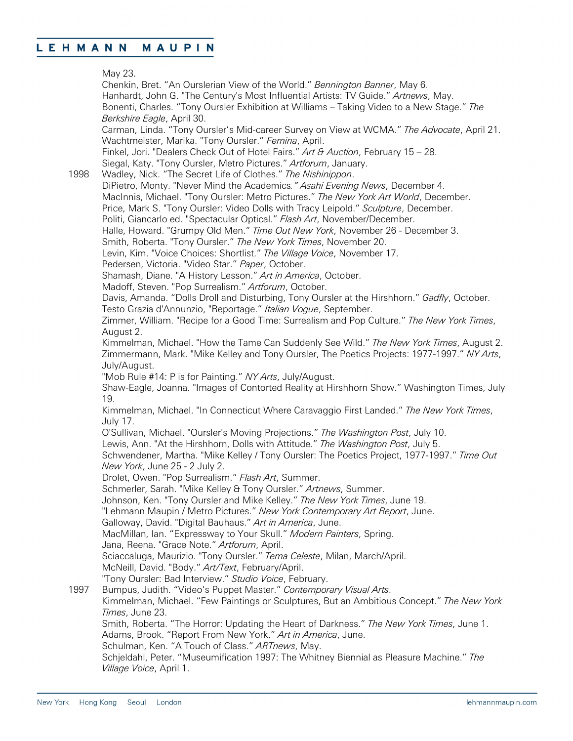May 23.

Chenkin, Bret. "An Ourslerian View of the World." *Bennington Banner*, May 6. Hanhardt, John G. "The Century's Most Influential Artists: TV Guide." *Artnews*, May. Bonenti, Charles. "Tony Oursler Exhibition at Williams – Taking Video to a New Stage." *The Berkshire Eagle*, April 30. Carman, Linda. "Tony Oursler's Mid-career Survey on View at WCMA." *The Advocate*, April 21. Wachtmeister, Marika. "Tony Oursler." *Femina*, April. Finkel, Jori. "Dealers Check Out of Hotel Fairs." *Art & Auction*, February 15 – 28. Siegal, Katy. "Tony Oursler, Metro Pictures." *Artforum*, January. 1998 Wadley, Nick. "The Secret Life of Clothes." *The Nishinippon*. DiPietro, Monty. "Never Mind the Academics*." Asahi Evening News*, December 4. MacInnis, Michael. "Tony Oursler: Metro Pictures." *The New York Art World*, December. Price, Mark S. "Tony Oursler: Video Dolls with Tracy Leipold." *Sculpture*, December. Politi, Giancarlo ed. "Spectacular Optical." *Flash Art*, November/December. Halle, Howard. "Grumpy Old Men." *Time Out New York*, November 26 - December 3. Smith, Roberta. "Tony Oursler." *The New York Times*, November 20. Levin, Kim. "Voice Choices: Shortlist." *The Village Voice*, November 17. Pedersen, Victoria. "Video Star." *Paper*, October. Shamash, Diane. "A History Lesson." *Art in America*, October. Madoff, Steven. "Pop Surrealism." *Artforum*, October. Davis, Amanda. "Dolls Droll and Disturbing, Tony Oursler at the Hirshhorn." *Gadfly*, October. Testo Grazia d'Annunzio, "Reportage." *Italian Vogue*, September. Zimmer, William. "Recipe for a Good Time: Surrealism and Pop Culture." *The New York Times*, August 2. Kimmelman, Michael. "How the Tame Can Suddenly See Wild." *The New York Times*, August 2. Zimmermann, Mark. "Mike Kelley and Tony Oursler, The Poetics Projects: 1977-1997." *NY Arts*, July/August. "Mob Rule #14: P is for Painting." *NY Arts*, July/August. Shaw-Eagle, Joanna. "Images of Contorted Reality at Hirshhorn Show." Washington Times, July 19. Kimmelman, Michael. "In Connecticut Where Caravaggio First Landed." *The New York Times*, July 17. O'Sullivan, Michael. "Oursler's Moving Projections." *The Washington Post*, July 10. Lewis, Ann. "At the Hirshhorn, Dolls with Attitude." *The Washington Post*, July 5. Schwendener, Martha. "Mike Kelley / Tony Oursler: The Poetics Project, 1977-1997." *Time Out New York*, June 25 - 2 July 2. Drolet, Owen. "Pop Surrealism." *Flash Art*, Summer. Schmerler, Sarah. "Mike Kelley & Tony Oursler." *Artnews*, Summer. Johnson, Ken. "Tony Oursler and Mike Kelley." *The New York Times*, June 19. "Lehmann Maupin / Metro Pictures." *New York Contemporary Art Report*, June. Galloway, David. "Digital Bauhaus." *Art in America*, June. MacMillan, Ian. "Expressway to Your Skull." *Modern Painters*, Spring. Jana, Reena. "Grace Note." *Artforum*, April. Sciaccaluga, Maurizio. "Tony Oursler." *Tema Celeste*, Milan, March/April. McNeill, David. "Body." *Art/Text*, February/April. "Tony Oursler: Bad Interview." *Studio Voice*, February. 1997 Bumpus, Judith. "Video's Puppet Master." *Contemporary Visual Arts*. Kimmelman, Michael. "Few Paintings or Sculptures, But an Ambitious Concept." *The New York Times*, June 23. Smith, Roberta. "The Horror: Updating the Heart of Darkness." *The New York Times*, June 1. Adams, Brook. "Report From New York." *Art in America*, June. Schulman, Ken. "A Touch of Class." *ARTnews*, May. Schjeldahl, Peter. "Museumification 1997: The Whitney Biennial as Pleasure Machine." *The Village Voice*, April 1.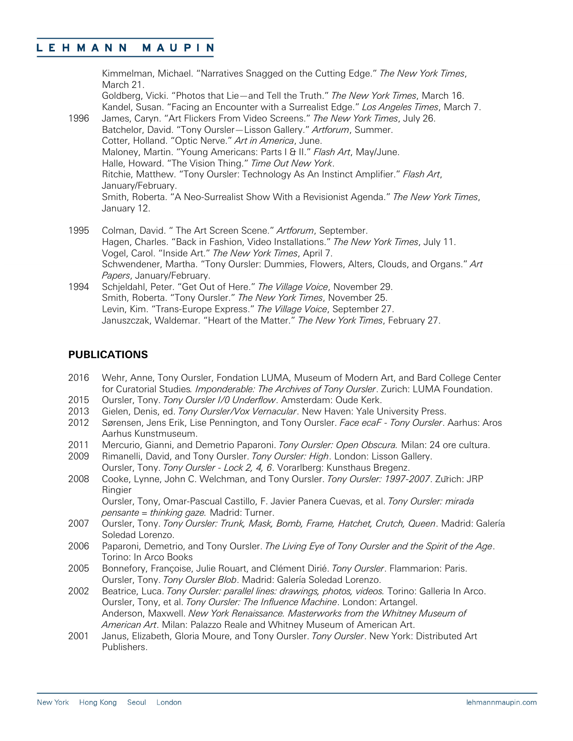Kimmelman, Michael. "Narratives Snagged on the Cutting Edge." *The New York Times*, March 21. Goldberg, Vicki. "Photos that Lie—and Tell the Truth." *The New York Times*, March 16. Kandel, Susan. "Facing an Encounter with a Surrealist Edge." *Los Angeles Times*, March 7. 1996 James, Caryn. "Art Flickers From Video Screens." *The New York Times*, July 26. Batchelor, David. "Tony Oursler—Lisson Gallery." *Artforum*, Summer. Cotter, Holland. "Optic Nerve." *Art in America*, June. Maloney, Martin. "Young Americans: Parts I & II." *Flash Art*, May/June. Halle, Howard. "The Vision Thing." *Time Out New York*. Ritchie, Matthew. "Tony Oursler: Technology As An Instinct Amplifier." *Flash Art*, January/February. Smith, Roberta. "A Neo-Surrealist Show With a Revisionist Agenda." *The New York Times*, January 12.

- 1995 Colman, David. " The Art Screen Scene." *Artforum*, September. Hagen, Charles. "Back in Fashion, Video Installations." *The New York Times*, July 11. Vogel, Carol. "Inside Art." *The New York Times*, April 7. Schwendener, Martha. "Tony Oursler: Dummies, Flowers, Alters, Clouds, and Organs." *Art Papers*, January/February. 1994 Schjeldahl, Peter. "Get Out of Here." *The Village Voice*, November 29.
- Smith, Roberta. "Tony Oursler." *The New York Times*, November 25. Levin, Kim. "Trans-Europe Express." *The Village Voice*, September 27. Januszczak, Waldemar. "Heart of the Matter." *The New York Times*, February 27.

### **PUBLICATIONS**

- 2016 Wehr, Anne, Tony Oursler, Fondation LUMA, Museum of Modern Art, and Bard College Center for Curatorial Studies*. Imponderable: The Archives of Tony Oursler*. Zurich: LUMA Foundation.
- 2015 Oursler, Tony. *Tony Oursler I/0 Underflow*. Amsterdam: Oude Kerk.
- 2013 Gielen, Denis, ed. *Tony Oursler/Vox Vernacular*. New Haven: Yale University Press.
- 2012 Sørensen, Jens Erik, Lise Pennington, and Tony Oursler. *Face ecaF - Tony Oursler*. Aarhus: Aros Aarhus Kunstmuseum.
- 2011 Mercurio, Gianni, and Demetrio Paparoni. *Tony Oursler: Open Obscura.* Milan: 24 ore cultura.
- 2009 Rimanelli, David, and Tony Oursler. *Tony Oursler: High*. London: Lisson Gallery.
- Oursler, Tony. *Tony Oursler - Lock 2, 4, 6*. Vorarlberg: Kunsthaus Bregenz. 2008 Cooke, Lynne, John C. Welchman, and Tony Oursler. *Tony Oursler: 1997-2007*. Zürich: JRP Ringier

Oursler, Tony, Omar-Pascual Castillo, F. Javier Panera Cuevas, et al. *Tony Oursler: mirada pensante = thinking gaze.* Madrid: Turner.

- 2007 Oursler, Tony. *Tony Oursler: Trunk, Mask, Bomb, Frame, Hatchet, Crutch, Queen*. Madrid: Galería Soledad Lorenzo.
- 2006 Paparoni, Demetrio, and Tony Oursler. *The Living Eye of Tony Oursler and the Spirit of the Age*. Torino: In Arco Books
- 2005 Bonnefory, Françoise, Julie Rouart, and Clément Dirié. *Tony Oursler*. Flammarion: Paris. Oursler, Tony. *Tony Oursler Blob*. Madrid: Galería Soledad Lorenzo.
- 2002 Beatrice, Luca. *Tony Oursler: parallel lines: drawings, photos, videos.* Torino: Galleria In Arco. Oursler, Tony, et al. *Tony Oursler: The Influence Machine*. London: Artangel. Anderson, Maxwell. *New York Renaissance. Masterworks from the Whitney Museum of American Art*. Milan: Palazzo Reale and Whitney Museum of American Art.
- 2001 Janus, Elizabeth, Gloria Moure, and Tony Oursler. *Tony Oursler*. New York: Distributed Art Publishers.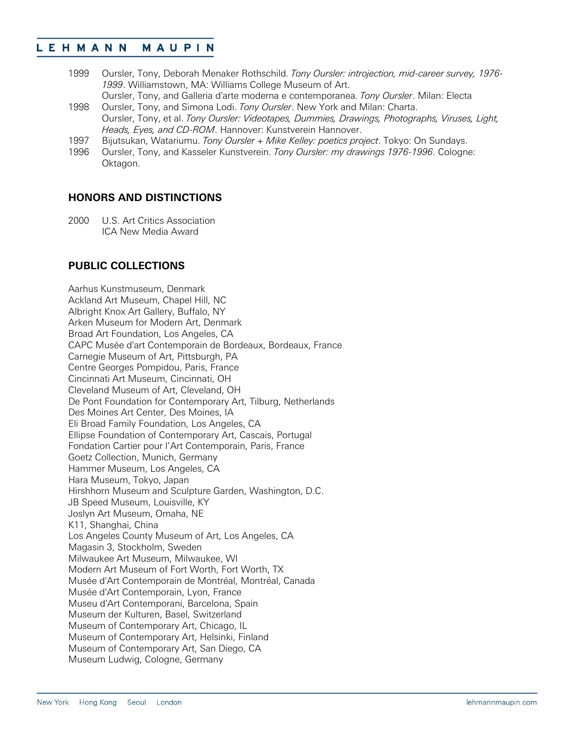- 1999 Oursler, Tony, Deborah Menaker Rothschild. *Tony Oursler: introjection, mid-career survey, 1976- 1999*. Williamstown, MA: Williams College Museum of Art. Oursler, Tony, and Galleria d'arte moderna e contemporanea. *Tony Oursler*. Milan: Electa
- 1998 Oursler, Tony, and Simona Lodi. *Tony Oursler*. New York and Milan: Charta. Oursler, Tony, et al. *Tony Oursler: Videotapes, Dummies, Drawings, Photographs, Viruses, Light, Heads, Eyes, and CD-ROM*. Hannover: Kunstverein Hannover.
- 1997 Bijutsukan, Watariumu. *Tony Oursler + Mike Kelley: poetics project*. Tokyo: On Sundays.
- 1996 Oursler, Tony, and Kasseler Kunstverein. *Tony Oursler: my drawings 1976-1996*. Cologne: Oktagon.

### **HONORS AND DISTINCTIONS**

2000 U.S. Art Critics Association ICA New Media Award

### **PUBLIC COLLECTIONS**

Aarhus Kunstmuseum, Denmark Ackland Art Museum, Chapel Hill, NC Albright Knox Art Gallery, Buffalo, NY Arken Museum for Modern Art, Denmark Broad Art Foundation, Los Angeles, CA CAPC Musée d'art Contemporain de Bordeaux, Bordeaux, France Carnegie Museum of Art, Pittsburgh, PA Centre Georges Pompidou, Paris, France Cincinnati Art Museum, Cincinnati, OH Cleveland Museum of Art, Cleveland, OH De Pont Foundation for Contemporary Art, Tilburg, Netherlands Des Moines Art Center, Des Moines, IA Eli Broad Family Foundation, Los Angeles, CA Ellipse Foundation of Contemporary Art, Cascais, Portugal Fondation Cartier pour l'Art Contemporain, Paris, France Goetz Collection, Munich, Germany Hammer Museum, Los Angeles, CA Hara Museum, Tokyo, Japan Hirshhorn Museum and Sculpture Garden, Washington, D.C. JB Speed Museum, Louisville, KY Joslyn Art Museum, Omaha, NE K11, Shanghai, China Los Angeles County Museum of Art, Los Angeles, CA Magasin 3, Stockholm, Sweden Milwaukee Art Museum, Milwaukee, WI Modern Art Museum of Fort Worth, Fort Worth, TX Musée d'Art Contemporain de Montréal, Montréal, Canada Musée d'Art Contemporain, Lyon, France Museu d'Art Contemporani, Barcelona, Spain Museum der Kulturen, Basel, Switzerland Museum of Contemporary Art, Chicago, IL Museum of Contemporary Art, Helsinki, Finland Museum of Contemporary Art, San Diego, CA Museum Ludwig, Cologne, Germany